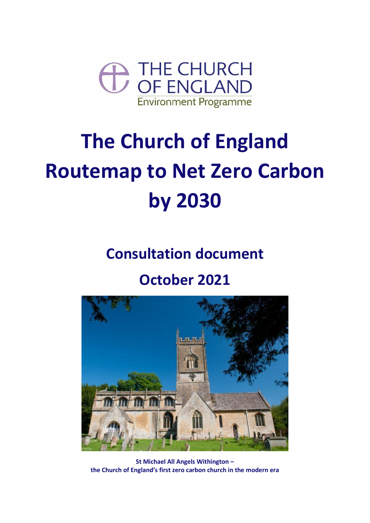

# **The Church of England Routemap to Net Zero Carbon by 2030**

## **Consultation document**

## **October 2021**



**St Michael All Angels Withington – the Church of England's first zero carbon church in the modern era**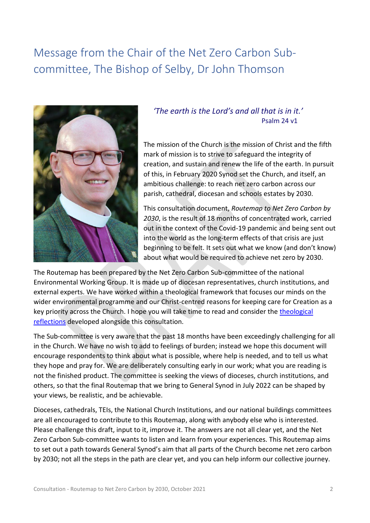## Message from the Chair of the Net Zero Carbon Subcommittee, The Bishop of Selby, Dr John Thomson



#### *'The earth is the Lord's and all that is in it.'* Psalm 24 v1

The mission of the Church is the mission of Christ and the fifth mark of mission is to strive to safeguard the integrity of creation, and sustain and renew the life of the earth. In pursuit of this, in February 2020 Synod set the Church, and itself, an ambitious challenge: to reach net zero carbon across our parish, cathedral, diocesan and schools estates by 2030.

This consultation document, *Routemap to Net Zero Carbon by 2030*, is the result of 18 months of concentrated work, carried out in the context of the Covid-19 pandemic and being sent out into the world as the long-term effects of that crisis are just beginning to be felt. It sets out what we know (and don't know) about what would be required to achieve net zero by 2030.

The Routemap has been prepared by the Net Zero Carbon Sub-committee of the national Environmental Working Group. It is made up of diocesan representatives, church institutions, and external experts. We have worked within a theological framework that focuses our minds on the wider environmental programme and our Christ-centred reasons for keeping care for Creation as a key priority across the Church. I hope you will take time to read and consider the [theological](http://www.churchofengland.org/net-zero-consultation)  [reflections](http://www.churchofengland.org/net-zero-consultation) developed alongside this consultation.

The Sub-committee is very aware that the past 18 months have been exceedingly challenging for all in the Church. We have no wish to add to feelings of burden; instead we hope this document will encourage respondents to think about what is possible, where help is needed, and to tell us what they hope and pray for. We are deliberately consulting early in our work; what you are reading is not the finished product. The committee is seeking the views of dioceses, church institutions, and others, so that the final Routemap that we bring to General Synod in July 2022 can be shaped by your views, be realistic, and be achievable.

Dioceses, cathedrals, TEIs, the National Church Institutions, and our national buildings committees are all encouraged to contribute to this Routemap, along with anybody else who is interested. Please challenge this draft, input to it, improve it. The answers are not all clear yet, and the Net Zero Carbon Sub-committee wants to listen and learn from your experiences. This Routemap aims to set out a path towards General Synod's aim that all parts of the Church become net zero carbon by 2030; not all the steps in the path are clear yet, and you can help inform our collective journey.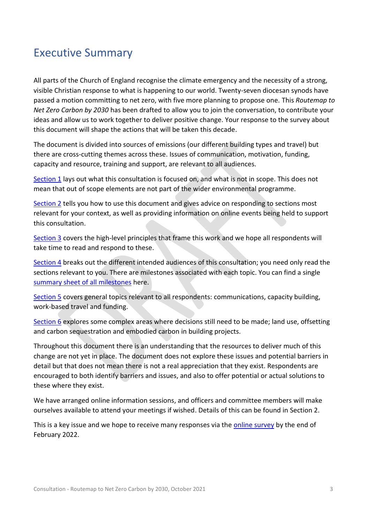## Executive Summary

All parts of the Church of England recognise the climate emergency and the necessity of a strong, visible Christian response to what is happening to our world. Twenty-seven diocesan synods have passed a motion committing to net zero, with five more planning to propose one. This *Routemap to Net Zero Carbon by 2030* has been drafted to allow you to join the conversation, to contribute your ideas and allow us to work together to deliver positive change. Your response to the survey about this document will shape the actions that will be taken this decade.

The document is divided into sources of emissions (our different building types and travel) but there are cross-cutting themes across these. Issues of communication, motivation, funding, capacity and resource, training and support, are relevant to all audiences.

[Section 1](#page-3-0) lays out what this consultation is focused on, and what is not in scope. This does not mean that out of scope elements are not part of the wider environmental programme.

[Section 2](#page-5-0) tells you how to use this document and gives advice on responding to sections most relevant for your context, as well as providing information on online events being held to support this consultation.

[Section 3](#page-7-0) covers the high-level principles that frame this work and we hope all respondents will take time to read and respond to these.

[Section 4](#page-9-0) breaks out the different intended audiences of this consultation; you need only read the sections relevant to you. There are milestones associated with each topic. You can find a single [summary sheet of all milestones](http://www.churchofengland.org/net-zero-consultation) here.

[Section 5](#page-22-0) covers general topics relevant to all respondents: communications, capacity building, work-based travel and funding.

[Section 6](#page-27-0) explores some complex areas where decisions still need to be made; land use, offsetting and carbon sequestration and embodied carbon in building projects.

Throughout this document there is an understanding that the resources to deliver much of this change are not yet in place. The document does not explore these issues and potential barriers in detail but that does not mean there is not a real appreciation that they exist. Respondents are encouraged to both identify barriers and issues, and also to offer potential or actual solutions to these where they exist.

We have arranged online information sessions, and officers and committee members will make ourselves available to attend your meetings if wished. Details of this can be found in Section 2.

This is a key issue and we hope to receive many responses via the [online survey](https://www.surveymonkey.co.uk/r/CoE_NZC) by the end of February 2022.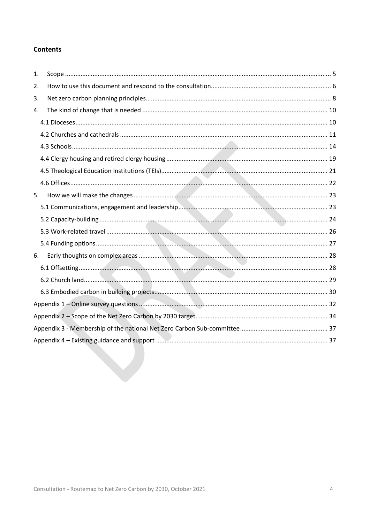#### <span id="page-3-0"></span>**Contents**

| 1. |  |
|----|--|
| 2. |  |
| 3. |  |
| 4. |  |
|    |  |
|    |  |
|    |  |
|    |  |
|    |  |
|    |  |
| 5. |  |
|    |  |
|    |  |
|    |  |
|    |  |
| 6. |  |
|    |  |
|    |  |
|    |  |
|    |  |
|    |  |
|    |  |
|    |  |
|    |  |
|    |  |
|    |  |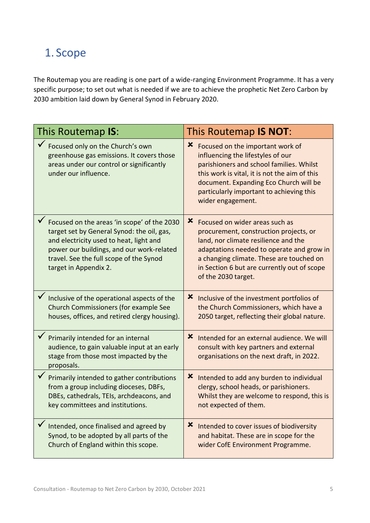## <span id="page-4-0"></span>1. Scope

The Routemap you are reading is one part of a wide-ranging Environment Programme. It has a very specific purpose; to set out what is needed if we are to achieve the prophetic Net Zero Carbon by 2030 ambition laid down by General Synod in February 2020.

| This Routemap IS:                                                                                                                                                                                                                                       | This Routemap IS NOT:                                                                                                                                                                                                                                                                |
|---------------------------------------------------------------------------------------------------------------------------------------------------------------------------------------------------------------------------------------------------------|--------------------------------------------------------------------------------------------------------------------------------------------------------------------------------------------------------------------------------------------------------------------------------------|
| Focused only on the Church's own<br>greenhouse gas emissions. It covers those<br>areas under our control or significantly<br>under our influence.                                                                                                       | ×<br>Focused on the important work of<br>influencing the lifestyles of our<br>parishioners and school families. Whilst<br>this work is vital, it is not the aim of this<br>document. Expanding Eco Church will be<br>particularly important to achieving this<br>wider engagement.   |
| ► Focused on the areas 'in scope' of the 2030<br>target set by General Synod: the oil, gas,<br>and electricity used to heat, light and<br>power our buildings, and our work-related<br>travel. See the full scope of the Synod<br>target in Appendix 2. | x<br>Focused on wider areas such as<br>procurement, construction projects, or<br>land, nor climate resilience and the<br>adaptations needed to operate and grow in<br>a changing climate. These are touched on<br>in Section 6 but are currently out of scope<br>of the 2030 target. |
| Inclusive of the operational aspects of the<br>Church Commissioners (for example See<br>houses, offices, and retired clergy housing).                                                                                                                   | <b>x</b> Inclusive of the investment portfolios of<br>the Church Commissioners, which have a<br>2050 target, reflecting their global nature.                                                                                                                                         |
| Primarily intended for an internal<br>audience, to gain valuable input at an early<br>stage from those most impacted by the<br>proposals.                                                                                                               | ×<br>Intended for an external audience. We will<br>consult with key partners and external<br>organisations on the next draft, in 2022.                                                                                                                                               |
| Primarily intended to gather contributions<br>from a group including dioceses, DBFs,<br>DBEs, cathedrals, TEIs, archdeacons, and<br>key committees and institutions.                                                                                    | <b>*</b> Intended to add any burden to individual<br>clergy, school heads, or parishioners.<br>Whilst they are welcome to respond, this is<br>not expected of them.                                                                                                                  |
| Intended, once finalised and agreed by<br>Synod, to be adopted by all parts of the<br>Church of England within this scope.                                                                                                                              | ×<br>Intended to cover issues of biodiversity<br>and habitat. These are in scope for the<br>wider CofE Environment Programme.                                                                                                                                                        |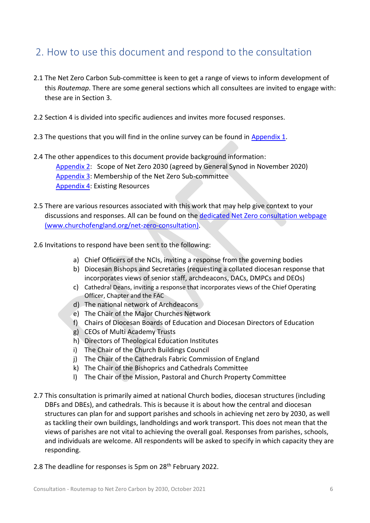## <span id="page-5-0"></span>2. How to use this document and respond to the consultation

- 2.1 The Net Zero Carbon Sub-committee is keen to get a range of views to inform development of this *Routemap*. There are some general sections which all consultees are invited to engage with: these are in Section 3.
- 2.2 Section 4 is divided into specific audiences and invites more focused responses.
- 2.3 The questions that you will find in the online survey can be found in [Appendix 1.](#page-31-0)
- 2.4 The other appendices to this document provide background information: [Appendix 2:](#page-33-0) Scope of Net Zero 2030 (agreed by General Synod in November 2020) [Appendix 3:](#page-36-0) Membership of the Net Zero Sub-committee [Appendix 4:](#page-36-1) Existing Resources
- 2.5 There are various resources associated with this work that may help give context to your discussions and responses. All can be found on the [dedicated Net Zero consultation webpage](http://www.churchofengland.org/net-zero-consultation) (www.churchofengland.org/net-zero-consultation).
- 2.6 Invitations to respond have been sent to the following:
	- a) Chief Officers of the NCIs, inviting a response from the governing bodies
	- b) Diocesan Bishops and Secretaries (requesting a collated diocesan response that incorporates views of senior staff, archdeacons, DACs, DMPCs and DEOs)
	- c) Cathedral Deans, inviting a response that incorporates views of the Chief Operating Officer, Chapter and the FAC
	- d) The national network of Archdeacons
	- e) The Chair of the Major Churches Network
	- f) Chairs of Diocesan Boards of Education and Diocesan Directors of Education
	- g) CEOs of Multi Academy Trusts
	- h) Directors of Theological Education Institutes
	- i) The Chair of the Church Buildings Council
	- j) The Chair of the Cathedrals Fabric Commission of England
	- k) The Chair of the Bishoprics and Cathedrals Committee
	- l) The Chair of the Mission, Pastoral and Church Property Committee
- 2.7 This consultation is primarily aimed at national Church bodies, diocesan structures (including DBFs and DBEs), and cathedrals. This is because it is about how the central and diocesan structures can plan for and support parishes and schools in achieving net zero by 2030, as well as tackling their own buildings, landholdings and work transport. This does not mean that the views of parishes are not vital to achieving the overall goal. Responses from parishes, schools, and individuals are welcome. All respondents will be asked to specify in which capacity they are responding.
- 2.8 The deadline for responses is 5pm on 28<sup>th</sup> February 2022.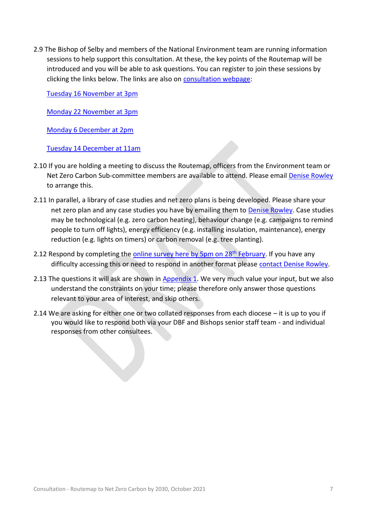2.9 The Bishop of Selby and members of the National Environment team are running information sessions to help support this consultation. At these, the key points of the Routemap will be introduced and you will be able to ask questions. You can register to join these sessions by clicking the links below. The links are also on [consultation webpage:](http://www.churchofengland.org/net-zero-consultation)

[Tuesday 16 November at 3pm](https://churchofengland-org.zoom.us/meeting/register/tJckdemoqT8iE9Emu6S9mCQ2a_ZrLFbNRzWZ)

[Monday 22 November at 3pm](https://us06web.zoom.us/meeting/register/tZYkd--rrDwjH92asNzoP6WIJpnFuixCamNf)

[Monday 6 December at 2pm](https://us06web.zoom.us/meeting/register/tZAlfumuqjojGNWASd6Ap1gYCQqn-SOA8pEq)

#### [Tuesday 14 December at 11am](https://us06web.zoom.us/meeting/register/tZIsd-6sqjgsHdBGBGHvI9ls72jO27mGOsV8)

- 2.10 If you are holding a meeting to discuss the Routemap, officers from the Environment team or Net Zero Carbon Sub-committee members are available to attend. Please email [Denise Rowley](mailto:denise.rowley@churchofengland.org?subject=Net%20Zero%20Consultation) to arrange this.
- 2.11 In parallel, a library of case studies and net zero plans is being developed. Please share your net zero plan and any case studies you have by emailing them to [Denise Rowley.](mailto:denise.rowley@churchofengland.org?subject=Net%20Zero%20Consultation) Case studies may be technological (e.g. zero carbon heating), behaviour change (e.g. campaigns to remind people to turn off lights), energy efficiency (e.g. installing insulation, maintenance), energy reduction (e.g. lights on timers) or carbon removal (e.g. tree planting).
- 2.12 Respond by completing the [online survey here](https://www.surveymonkey.co.uk/r/CoE_NZC) by 5pm on 28<sup>th</sup> February. If you have any difficulty accessing this or need to respond in another format please [contact Denise Rowley.](mailto:denise.rowley@churchofengland.org?subject=Net%20Zero%20Consultation)
- 2.13 The questions it will ask are shown in [Appendix 1.](#page-30-0) We very much value your input, but we also understand the constraints on your time; please therefore only answer those questions relevant to your area of interest, and skip others.
- 2.14 We are asking for either one or two collated responses from each diocese it is up to you if you would like to respond both via your DBF and Bishops senior staff team - and individual responses from other consultees.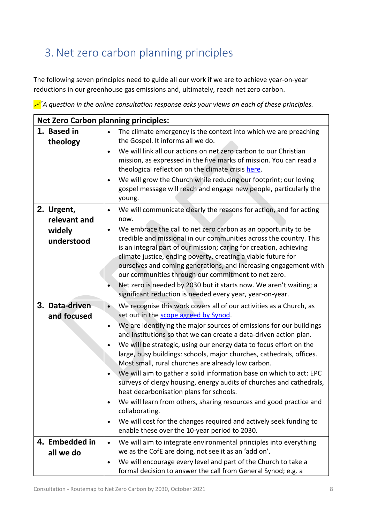## <span id="page-7-0"></span>3.Net zero carbon planning principles

The following seven principles need to guide all our work if we are to achieve year-on-year reductions in our greenhouse gas emissions and, ultimately, reach net zero carbon.

*A question in the online consultation response asks your views on each of these principles.* 

|  | <b>Net Zero Carbon planning principles:</b> |                                                                                                                                              |  |  |  |
|--|---------------------------------------------|----------------------------------------------------------------------------------------------------------------------------------------------|--|--|--|
|  | 1. Based in                                 | The climate emergency is the context into which we are preaching                                                                             |  |  |  |
|  | theology                                    | the Gospel. It informs all we do.                                                                                                            |  |  |  |
|  |                                             | We will link all our actions on net zero carbon to our Christian                                                                             |  |  |  |
|  |                                             | mission, as expressed in the five marks of mission. You can read a                                                                           |  |  |  |
|  |                                             | theological reflection on the climate crisis here.                                                                                           |  |  |  |
|  |                                             | We will grow the Church while reducing our footprint; our loving                                                                             |  |  |  |
|  |                                             | gospel message will reach and engage new people, particularly the<br>young.                                                                  |  |  |  |
|  |                                             |                                                                                                                                              |  |  |  |
|  | 2. Urgent,                                  | We will communicate clearly the reasons for action, and for acting<br>٠<br>now.                                                              |  |  |  |
|  | relevant and                                | We embrace the call to net zero carbon as an opportunity to be                                                                               |  |  |  |
|  | widely                                      | credible and missional in our communities across the country. This                                                                           |  |  |  |
|  | understood                                  | is an integral part of our mission; caring for creation, achieving                                                                           |  |  |  |
|  |                                             | climate justice, ending poverty, creating a viable future for                                                                                |  |  |  |
|  |                                             | ourselves and coming generations, and increasing engagement with                                                                             |  |  |  |
|  |                                             | our communities through our commitment to net zero.                                                                                          |  |  |  |
|  |                                             | Net zero is needed by 2030 but it starts now. We aren't waiting; a                                                                           |  |  |  |
|  |                                             | significant reduction is needed every year, year-on-year.                                                                                    |  |  |  |
|  | 3. Data-driven                              | We recognise this work covers all of our activities as a Church, as<br>$\bullet$                                                             |  |  |  |
|  | and focused                                 | set out in the scope agreed by Synod.                                                                                                        |  |  |  |
|  |                                             | We are identifying the major sources of emissions for our buildings<br>$\bullet$                                                             |  |  |  |
|  |                                             | and institutions so that we can create a data-driven action plan.                                                                            |  |  |  |
|  |                                             | We will be strategic, using our energy data to focus effort on the<br>large, busy buildings: schools, major churches, cathedrals, offices.   |  |  |  |
|  |                                             | Most small, rural churches are already low carbon.                                                                                           |  |  |  |
|  |                                             | We will aim to gather a solid information base on which to act: EPC                                                                          |  |  |  |
|  |                                             | surveys of clergy housing, energy audits of churches and cathedrals,                                                                         |  |  |  |
|  |                                             | heat decarbonisation plans for schools.                                                                                                      |  |  |  |
|  |                                             | We will learn from others, sharing resources and good practice and<br>$\bullet$                                                              |  |  |  |
|  |                                             | collaborating.                                                                                                                               |  |  |  |
|  |                                             | We will cost for the changes required and actively seek funding to<br>٠                                                                      |  |  |  |
|  |                                             | enable these over the 10-year period to 2030.                                                                                                |  |  |  |
|  | 4. Embedded in                              | We will aim to integrate environmental principles into everything<br>$\bullet$                                                               |  |  |  |
|  | all we do                                   | we as the CofE are doing, not see it as an 'add on'.                                                                                         |  |  |  |
|  |                                             | We will encourage every level and part of the Church to take a<br>$\bullet$<br>formal decision to answer the call from General Synod; e.g. a |  |  |  |
|  |                                             |                                                                                                                                              |  |  |  |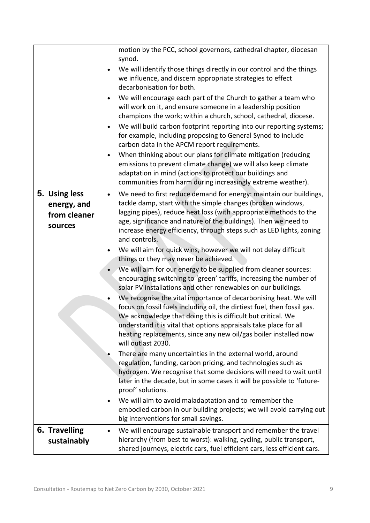|                                                         | motion by the PCC, school governors, cathedral chapter, diocesan<br>synod.<br>We will identify those things directly in our control and the things<br>we influence, and discern appropriate strategies to effect<br>decarbonisation for both.<br>We will encourage each part of the Church to gather a team who<br>will work on it, and ensure someone in a leadership position<br>champions the work; within a church, school, cathedral, diocese.<br>We will build carbon footprint reporting into our reporting systems;<br>for example, including proposing to General Synod to include<br>carbon data in the APCM report requirements.<br>When thinking about our plans for climate mitigation (reducing<br>emissions to prevent climate change) we will also keep climate<br>adaptation in mind (actions to protect our buildings and<br>communities from harm during increasingly extreme weather).                                                                                                                                                                                                                                                                                                                                                                                                                                                                                                                                                                                                                                                                      |
|---------------------------------------------------------|---------------------------------------------------------------------------------------------------------------------------------------------------------------------------------------------------------------------------------------------------------------------------------------------------------------------------------------------------------------------------------------------------------------------------------------------------------------------------------------------------------------------------------------------------------------------------------------------------------------------------------------------------------------------------------------------------------------------------------------------------------------------------------------------------------------------------------------------------------------------------------------------------------------------------------------------------------------------------------------------------------------------------------------------------------------------------------------------------------------------------------------------------------------------------------------------------------------------------------------------------------------------------------------------------------------------------------------------------------------------------------------------------------------------------------------------------------------------------------------------------------------------------------------------------------------------------------|
| 5. Using less<br>energy, and<br>from cleaner<br>sources | We need to first reduce demand for energy: maintain our buildings,<br>$\bullet$<br>tackle damp, start with the simple changes (broken windows,<br>lagging pipes), reduce heat loss (with appropriate methods to the<br>age, significance and nature of the buildings). Then we need to<br>increase energy efficiency, through steps such as LED lights, zoning<br>and controls.<br>We will aim for quick wins, however we will not delay difficult<br>things or they may never be achieved.<br>We will aim for our energy to be supplied from cleaner sources:<br>encouraging switching to 'green' tariffs, increasing the number of<br>solar PV installations and other renewables on our buildings.<br>We recognise the vital importance of decarbonising heat. We will<br>focus on fossil fuels including oil, the dirtiest fuel, then fossil gas.<br>We acknowledge that doing this is difficult but critical. We<br>understand it is vital that options appraisals take place for all<br>heating replacements, since any new oil/gas boiler installed now<br>will outlast 2030.<br>There are many uncertainties in the external world, around<br>regulation, funding, carbon pricing, and technologies such as<br>hydrogen. We recognise that some decisions will need to wait until<br>later in the decade, but in some cases it will be possible to 'future-<br>proof' solutions.<br>We will aim to avoid maladaptation and to remember the<br>$\bullet$<br>embodied carbon in our building projects; we will avoid carrying out<br>big interventions for small savings. |
| 6. Travelling<br>sustainably                            | We will encourage sustainable transport and remember the travel<br>$\bullet$<br>hierarchy (from best to worst): walking, cycling, public transport,<br>shared journeys, electric cars, fuel efficient cars, less efficient cars.                                                                                                                                                                                                                                                                                                                                                                                                                                                                                                                                                                                                                                                                                                                                                                                                                                                                                                                                                                                                                                                                                                                                                                                                                                                                                                                                                |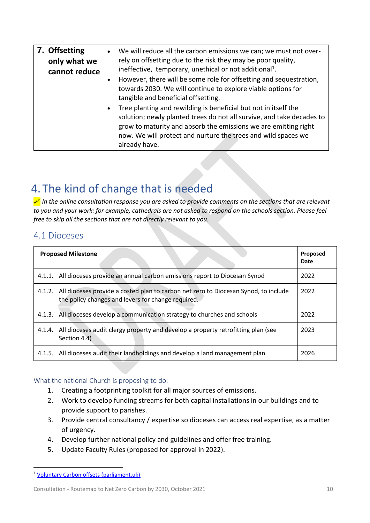| 7. Offsetting<br>only what we<br>cannot reduce | We will reduce all the carbon emissions we can; we must not over-<br>rely on offsetting due to the risk they may be poor quality,<br>ineffective, temporary, unethical or not additional <sup>1</sup> .                                                                                       |
|------------------------------------------------|-----------------------------------------------------------------------------------------------------------------------------------------------------------------------------------------------------------------------------------------------------------------------------------------------|
|                                                | However, there will be some role for offsetting and sequestration,<br>towards 2030. We will continue to explore viable options for<br>tangible and beneficial offsetting.                                                                                                                     |
|                                                | Tree planting and rewilding is beneficial but not in itself the<br>solution; newly planted trees do not all survive, and take decades to<br>grow to maturity and absorb the emissions we are emitting right<br>now. We will protect and nurture the trees and wild spaces we<br>already have. |

## <span id="page-9-0"></span>4. The kind of change that is needed

 *In the online consultation response you are asked to provide comments on the sections that are relevant to you and your work: for example, cathedrals are not asked to respond on the schools section. Please feel free to skip all the sections that are not directly relevant to you.*

#### <span id="page-9-1"></span>4.1 Dioceses

| <b>Proposed Milestone</b> |                                                                                                                                                  | Proposed<br>Date |
|---------------------------|--------------------------------------------------------------------------------------------------------------------------------------------------|------------------|
|                           | 4.1.1. All dioceses provide an annual carbon emissions report to Diocesan Synod                                                                  | 2022             |
|                           | 4.1.2. All dioceses provide a costed plan to carbon net zero to Diocesan Synod, to include<br>the policy changes and levers for change required. | 2022             |
|                           | 4.1.3. All dioceses develop a communication strategy to churches and schools                                                                     | 2022             |
|                           | 4.1.4. All dioceses audit clergy property and develop a property retrofitting plan (see<br>Section 4.4)                                          | 2023             |
|                           | 4.1.5. All dioceses audit their landholdings and develop a land management plan                                                                  | 2026             |

#### What the national Church is proposing to do:

- 1. Creating a footprinting toolkit for all major sources of emissions.
- 2. Work to develop funding streams for both capital installations in our buildings and to provide support to parishes.
- 3. Provide central consultancy / expertise so dioceses can access real expertise, as a matter of urgency.
- 4. Develop further national policy and guidelines and offer free training.
- 5. Update Faculty Rules (proposed for approval in 2022).

<sup>&</sup>lt;sup>1</sup> [Voluntary Carbon offsets \(parliament.uk\)](https://www.parliament.uk/globalassets/documents/post/postpn290.pdf)

Consultation - Routemap to Net Zero Carbon by 2030, October 2021 10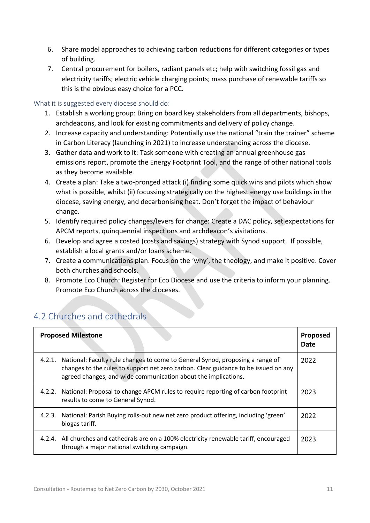- 6. Share model approaches to achieving carbon reductions for different categories or types of building.
- 7. Central procurement for boilers, radiant panels etc; help with switching fossil gas and electricity tariffs; electric vehicle charging points; mass purchase of renewable tariffs so this is the obvious easy choice for a PCC.

#### What it is suggested every diocese should do:

- 1. Establish a working group: Bring on board key stakeholders from all departments, bishops, archdeacons, and look for existing commitments and delivery of policy change.
- 2. Increase capacity and understanding: Potentially use the national "train the trainer" scheme in Carbon Literacy (launching in 2021) to increase understanding across the diocese.
- 3. Gather data and work to it: Task someone with creating an annual greenhouse gas emissions report, promote the Energy Footprint Tool, and the range of other national tools as they become available.
- 4. Create a plan: Take a two-pronged attack (i) finding some quick wins and pilots which show what is possible, whilst (ii) focussing strategically on the highest energy use buildings in the diocese, saving energy, and decarbonising heat. Don't forget the impact of behaviour change.
- 5. Identify required policy changes/levers for change: Create a DAC policy, set expectations for APCM reports, quinquennial inspections and archdeacon's visitations.
- 6. Develop and agree a costed (costs and savings) strategy with Synod support. If possible, establish a local grants and/or loans scheme.
- 7. Create a communications plan. Focus on the 'why', the theology, and make it positive. Cover both churches and schools.
- 8. Promote Eco Church: Register for Eco Diocese and use the criteria to inform your planning. Promote Eco Church across the dioceses.

#### <span id="page-10-0"></span>4.2 Churches and cathedrals

|        | <b>Proposed Milestone</b>                                                                                                                                                                                                              | <b>Proposed</b><br>Date |
|--------|----------------------------------------------------------------------------------------------------------------------------------------------------------------------------------------------------------------------------------------|-------------------------|
| 4.2.1. | National: Faculty rule changes to come to General Synod, proposing a range of<br>changes to the rules to support net zero carbon. Clear guidance to be issued on any<br>agreed changes, and wide communication about the implications. | 2022                    |
| 4.2.2. | National: Proposal to change APCM rules to require reporting of carbon footprint<br>results to come to General Synod.                                                                                                                  | 2023                    |
| 4.2.3. | National: Parish Buying rolls-out new net zero product offering, including 'green'<br>biogas tariff.                                                                                                                                   | 2022                    |
|        | 4.2.4. All churches and cathedrals are on a 100% electricity renewable tariff, encouraged<br>through a major national switching campaign.                                                                                              | 2023                    |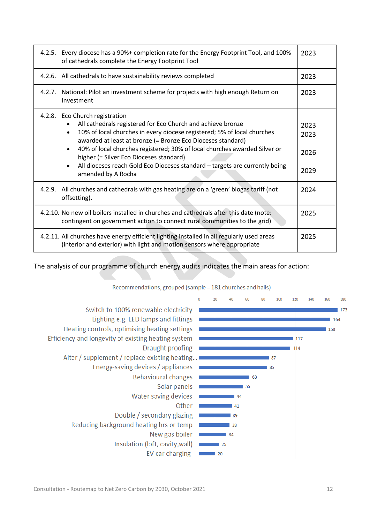|        | 4.2.5. Every diocese has a 90%+ completion rate for the Energy Footprint Tool, and 100%<br>of cathedrals complete the Energy Footprint Tool                                                                                                                                                                                                                                                                                                                                                                              | 2023                         |
|--------|--------------------------------------------------------------------------------------------------------------------------------------------------------------------------------------------------------------------------------------------------------------------------------------------------------------------------------------------------------------------------------------------------------------------------------------------------------------------------------------------------------------------------|------------------------------|
|        | 4.2.6. All cathedrals to have sustainability reviews completed                                                                                                                                                                                                                                                                                                                                                                                                                                                           | 2023                         |
| 4.2.7. | National: Pilot an investment scheme for projects with high enough Return on<br>Investment                                                                                                                                                                                                                                                                                                                                                                                                                               | 2023                         |
|        | 4.2.8. Eco Church registration<br>All cathedrals registered for Eco Church and achieve bronze<br>$\bullet$<br>10% of local churches in every diocese registered; 5% of local churches<br>$\bullet$<br>awarded at least at bronze (= Bronze Eco Dioceses standard)<br>40% of local churches registered; 30% of local churches awarded Silver or<br>$\bullet$<br>higher (= Silver Eco Dioceses standard)<br>All dioceses reach Gold Eco Dioceses standard - targets are currently being<br>$\bullet$<br>amended by A Rocha | 2023<br>2023<br>2026<br>2029 |
|        | 4.2.9. All churches and cathedrals with gas heating are on a 'green' biogas tariff (not<br>offsetting).                                                                                                                                                                                                                                                                                                                                                                                                                  | 2024                         |
|        | 4.2.10. No new oil boilers installed in churches and cathedrals after this date (note:<br>contingent on government action to connect rural communities to the grid)                                                                                                                                                                                                                                                                                                                                                      | 2025                         |
|        | 4.2.11. All churches have energy efficient lighting installed in all regularly used areas<br>(interior and exterior) with light and motion sensors where appropriate                                                                                                                                                                                                                                                                                                                                                     | 2025                         |

The analysis of our programme of church energy audits indicates the main areas for action:



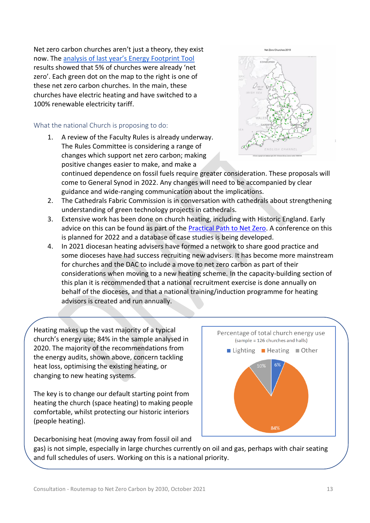Net zero carbon churches aren't just a theory, they exist now. The [analysis of last year's Energy Footprint Tool](https://www.churchofengland.org/sites/default/files/2021-02/Energy%20Footprint%20Tool%202019.pdf) results showed that 5% of churches were already 'net zero'. Each green dot on the map to the right is one of these net zero carbon churches. In the main, these churches have electric heating and have switched to a 100% renewable electricity tariff.

#### What the national Church is proposing to do:

1. A review of the Faculty Rules is already underway. The Rules Committee is considering a range of changes which support net zero carbon; making positive changes easier to make, and make a



continued dependence on fossil fuels require greater consideration. These proposals will come to General Synod in 2022. Any changes will need to be accompanied by clear guidance and wide-ranging communication about the implications.

- 2. The Cathedrals Fabric Commission is in conversation with cathedrals about strengthening understanding of green technology projects in cathedrals.
- 3. Extensive work has been done on church heating, including with Historic England. Early advice on this can be found as part of the [Practical Path to Net Zero.](https://www.churchofengland.org/resources/churchcare/net-zero-carbon-church/practical-path-net-zero-carbon-churches) A conference on this is planned for 2022 and a database of case studies is being developed.
- 4. In 2021 diocesan heating advisers have formed a network to share good practice and some dioceses have had success recruiting new advisers. It has become more mainstream for churches and the DAC to include a move to net zero carbon as part of their considerations when moving to a new heating scheme. In the capacity-building section of this plan it is recommended that a national recruitment exercise is done annually on behalf of the dioceses, and that a national training/induction programme for heating advisors is created and run annually.

Heating makes up the vast majority of a typical church's energy use; 84% in the sample analysed in 2020. The majority of the recommendations from the energy audits, shown above, concern tackling heat loss, optimising the existing heating, or changing to new heating systems.

The key is to change our default starting point from heating the church (space heating) to making people comfortable, whilst protecting our historic interiors (people heating).



Decarbonising heat (moving away from fossil oil and

gas) is not simple, especially in large churches currently on oil and gas, perhaps with chair seating and full schedules of users. Working on this is a national priority.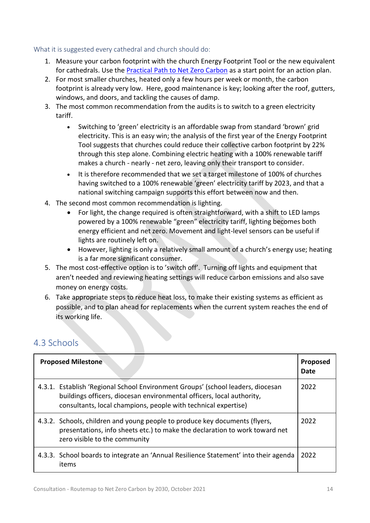#### What it is suggested every cathedral and church should do:

- 1. Measure your carbon footprint with the church Energy Footprint Tool or the new equivalent for cathedrals. Use the [Practical Path to Net Zero Carbon](https://www.churchofengland.org/resources/churchcare/net-zero-carbon-church/practical-path-net-zero-carbon-churches) as a start point for an action plan.
- 2. For most smaller churches, heated only a few hours per week or month, the carbon footprint is already very low. Here, good maintenance is key; looking after the roof, gutters, windows, and doors, and tackling the causes of damp.
- 3. The most common recommendation from the audits is to switch to a green electricity tariff.
	- Switching to 'green' electricity is an affordable swap from standard 'brown' grid electricity. This is an easy win; the analysis of the first year of the Energy Footprint Tool suggests that churches could reduce their collective carbon footprint by 22% through this step alone. Combining electric heating with a 100% renewable tariff makes a church - nearly - net zero, leaving only their transport to consider.
	- It is therefore recommended that we set a target milestone of 100% of churches having switched to a 100% renewable 'green' electricity tariff by 2023, and that a national switching campaign supports this effort between now and then.
- 4. The second most common recommendation is lighting.
	- For light, the change required is often straightforward, with a shift to LED lamps powered by a 100% renewable "green" electricity tariff, lighting becomes both energy efficient and net zero. Movement and light-level sensors can be useful if lights are routinely left on.
	- However, lighting is only a relatively small amount of a church's energy use; heating is a far more significant consumer.
- 5. The most cost-effective option is to 'switch off'. Turning off lights and equipment that aren't needed and reviewing heating settings will reduce carbon emissions and also save money on energy costs.
- 6. Take appropriate steps to reduce heat loss, to make their existing systems as efficient as possible, and to plan ahead for replacements when the current system reaches the end of its working life.

#### <span id="page-13-0"></span>4.3 Schools

| <b>Proposed Milestone</b> |                                                                                                                                                                                                                            | Proposed<br>Date |
|---------------------------|----------------------------------------------------------------------------------------------------------------------------------------------------------------------------------------------------------------------------|------------------|
|                           | 4.3.1. Establish 'Regional School Environment Groups' (school leaders, diocesan<br>buildings officers, diocesan environmental officers, local authority,<br>consultants, local champions, people with technical expertise) | 2022             |
|                           | 4.3.2. Schools, children and young people to produce key documents (flyers,<br>presentations, info sheets etc.) to make the declaration to work toward net<br>zero visible to the community                                | 2022             |
| items                     | 4.3.3. School boards to integrate an 'Annual Resilience Statement' into their agenda                                                                                                                                       | 2022             |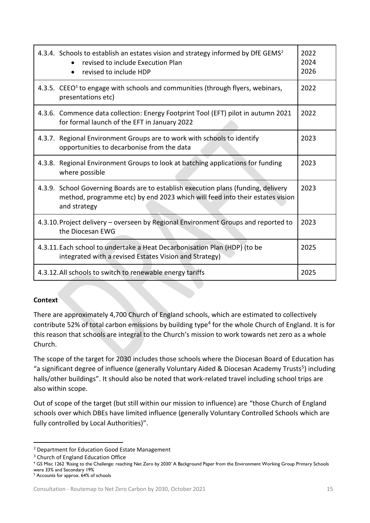|        | 4.3.4. Schools to establish an estates vision and strategy informed by DfE GEMS <sup>2</sup><br>revised to include Execution Plan<br>revised to include HDP                        | 2022<br>2024<br>2026 |
|--------|------------------------------------------------------------------------------------------------------------------------------------------------------------------------------------|----------------------|
|        | 4.3.5. CEEO <sup>3</sup> to engage with schools and communities (through flyers, webinars,<br>presentations etc)                                                                   | 2022                 |
|        | 4.3.6. Commence data collection: Energy Footprint Tool (EFT) pilot in autumn 2021<br>for formal launch of the EFT in January 2022                                                  | 2022                 |
|        | 4.3.7. Regional Environment Groups are to work with schools to identify<br>opportunities to decarbonise from the data                                                              | 2023                 |
| 4.3.8. | Regional Environment Groups to look at batching applications for funding<br>where possible                                                                                         | 2023                 |
|        | 4.3.9. School Governing Boards are to establish execution plans (funding, delivery<br>method, programme etc) by end 2023 which will feed into their estates vision<br>and strategy | 2023                 |
|        | 4.3.10. Project delivery - overseen by Regional Environment Groups and reported to<br>the Diocesan EWG                                                                             | 2023                 |
|        | 4.3.11. Each school to undertake a Heat Decarbonisation Plan (HDP) (to be<br>integrated with a revised Estates Vision and Strategy)                                                | 2025                 |
|        | 4.3.12. All schools to switch to renewable energy tariffs                                                                                                                          | 2025                 |

#### **Context**

There are approximately 4,700 Church of England schools, which are estimated to collectively contribute 52% of total carbon emissions by building type<sup>4</sup> for the whole Church of England. It is for this reason that schools are integral to the Church's mission to work towards net zero as a whole Church.

The scope of the target for 2030 includes those schools where the Diocesan Board of Education has "a significant degree of influence (generally Voluntary Aided & Diocesan Academy Trusts<sup>5</sup>) including halls/other buildings". It should also be noted that work-related travel including school trips are also within scope.

Out of scope of the target (but still within our mission to influence) are "those Church of England schools over which DBEs have limited influence (generally Voluntary Controlled Schools which are fully controlled by Local Authorities)".

<sup>2</sup> Department for Education Good Estate Management

<sup>&</sup>lt;sup>3</sup> Church of England Education Office

<sup>&</sup>lt;sup>4</sup> GS Misc 1262 'Rising to the Challenge: reaching Net Zero by 2030' A Background Paper from the Environment Working Group Primary Schools were 33% and Secondary 19%

<sup>5</sup> Accounts for approx. 64% of schools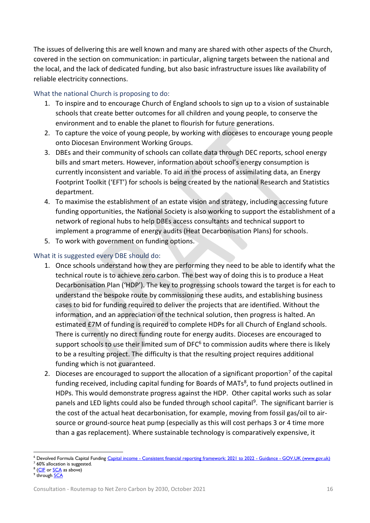The issues of delivering this are well known and many are shared with other aspects of the Church, covered in the section on communication: in particular, aligning targets between the national and the local, and the lack of dedicated funding, but also basic infrastructure issues like availability of reliable electricity connections.

#### What the national Church is proposing to do:

- 1. To inspire and to encourage Church of England schools to sign up to a vision of sustainable schools that create better outcomes for all children and young people, to conserve the environment and to enable the planet to flourish for future generations.
- 2. To capture the voice of young people, by working with dioceses to encourage young people onto Diocesan Environment Working Groups.
- 3. DBEs and their community of schools can collate data through DEC reports, school energy bills and smart meters. However, information about school's energy consumption is currently inconsistent and variable. To aid in the process of assimilating data, an Energy Footprint Toolkit ('EFT') for schools is being created by the national Research and Statistics department.
- 4. To maximise the establishment of an estate vision and strategy, including accessing future funding opportunities, the National Society is also working to support the establishment of a network of regional hubs to help DBEs access consultants and technical support to implement a programme of energy audits (Heat Decarbonisation Plans) for schools.
- 5. To work with government on funding options.

#### What it is suggested every DBE should do:

- 1. Once schools understand how they are performing they need to be able to identify what the technical route is to achieve zero carbon. The best way of doing this is to produce a Heat Decarbonisation Plan ('HDP'). The key to progressing schools toward the target is for each to understand the bespoke route by commissioning these audits, and establishing business cases to bid for funding required to deliver the projects that are identified. Without the information, and an appreciation of the technical solution, then progress is halted. An estimated £7M of funding is required to complete HDPs for all Church of England schools. There is currently no direct funding route for energy audits. Dioceses are encouraged to support schools to use their limited sum of DFC<sup>6</sup> to commission audits where there is likely to be a resulting project. The difficulty is that the resulting project requires additional funding which is not guaranteed.
- 2. Dioceses are encouraged to support the allocation of a significant proportion<sup>7</sup> of the capital funding received, including capital funding for Boards of MATs<sup>8</sup>, to fund projects outlined in HDPs. This would demonstrate progress against the HDP. Other capital works such as solar panels and LED lights could also be funded through school capital<sup>9</sup>. The significant barrier is the cost of the actual heat decarbonisation, for example, moving from fossil gas/oil to airsource or ground-source heat pump (especially as this will cost perhaps 3 or 4 time more than a gas replacement). Where sustainable technology is comparatively expensive, it

- <sup>7</sup> 60% allocation is suggested.
- <sup>8</sup> [\(CIF](https://www.gov.uk/guidance/condition-improvement-fund) or **SCA** as above)

<sup>&</sup>lt;sup>6</sup> Devolved Formula Capital Funding Capital income - [Consistent financial reporting framework: 2021 to 2022 -](https://www.gov.uk/guidance/consistent-financial-reporting-framework-2021-to-2022/capital-income) Guidance - GOV.UK (www.gov.uk)

<sup>&</sup>lt;sup>9</sup> through <mark>SCA</mark>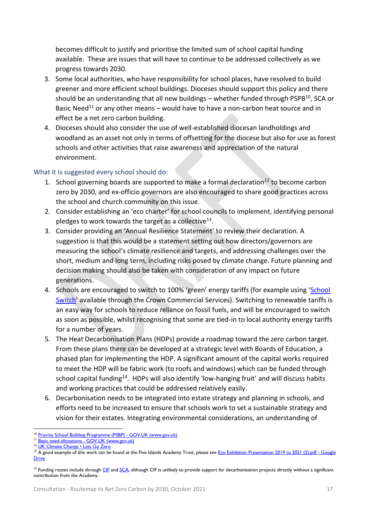becomes difficult to justify and prioritise the limited sum of school capital funding available. These are issues that will have to continue to be addressed collectively as we progress towards 2030.

- 3. Some local authorities, who have responsibility for school places, have resolved to build greener and more efficient school buildings. Dioceses should support this policy and there should be an understanding that all new buildings – whether funded through PSPB $^{10}$ , SCA or Basic Need<sup>11</sup> or any other means – would have to have a non-carbon heat source and in effect be a net zero carbon building.
- 4. Dioceses should also consider the use of well-established diocesan landholdings and woodland as an asset not only in terms of offsetting for the diocese but also for use as forest schools and other activities that raise awareness and appreciation of the natural environment.

#### What it is suggested every school should do:

- 1. School governing boards are supported to make a formal declaration<sup>12</sup> to become carbon zero by 2030, and ex-officio governors are also encouraged to share good practices across the school and church community on this issue.
- 2. Consider establishing an 'eco charter' for school councils to implement, identifying personal pledges to work towards the target as a collective<sup>13</sup>.
- 3. Consider providing an 'Annual Resilience Statement' to review their declaration. A suggestion is that this would be a statement setting out how directors/governors are measuring the school's climate resilience and targets, and addressing challenges over the short, medium and long term, including risks posed by climate change. Future planning and decision making should also be taken with consideration of any impact on future generations.
- 4. Schools are encouraged to switch to 100% 'green' energy tariffs (for example using 'School [Switch](https://schoolswitch.crowncommercial.gov.uk/#!/home)' available through the Crown Commercial Services). Switching to renewable tariffs is an easy way for schools to reduce reliance on fossil fuels, and will be encouraged to switch as soon as possible, whilst recognising that some are tied-in to local authority energy tariffs for a number of years.
- 5. The Heat Decarbonisation Plans (HDPs) provide a roadmap toward the zero carbon target. From these plans there can be developed at a strategic level with Boards of Education, a phased plan for implementing the HDP. A significant amount of the capital works required to meet the HDP will be fabric work (to roofs and windows) which can be funded through school capital funding<sup>14</sup>. HDPs will also identify 'low-hanging fruit' and will discuss habits and working practices that could be addressed relatively easily.
- 6. Decarbonisation needs to be integrated into estate strategy and planning in schools, and efforts need to be increased to ensure that schools work to set a sustainable strategy and vision for their estates. Integrating environmental considerations, an understanding of

<sup>&</sup>lt;sup>10</sup> [Priority School Building Programme \(PSBP\) -](https://www.gov.uk/government/collections/priority-school-building-programme-psbp) GOV.UK (www.gov.uk)

<sup>&</sup>lt;sup>11</sup> Basic need allocations - [GOV.UK \(www.gov.uk\)](https://www.gov.uk/government/publications/basic-need-allocations)

<sup>&</sup>lt;sup>12</sup> [UK Climate Change • Lets Go Zero](https://letsgozero.org/)

<sup>&</sup>lt;sup>13</sup> A good example of this work can be found at the Five Islands Academy Trust, please see [Eco Exhibition Presentation 2019 to 2021 \(2\).pdf -](https://drive.google.com/file/d/1rSmJ-KCNTybnzvbz6wBx1vAZFP_-8tVG/view) Google **[Drive](https://drive.google.com/file/d/1rSmJ-KCNTybnzvbz6wBx1vAZFP_-8tVG/view)** 

<sup>&</sup>lt;sup>14</sup> Funding routes include through [CIF](https://www.gov.uk/guidance/condition-improvement-fund) an[d SCA,](https://www.gov.uk/guidance/school-capital-funding) although CIF is unlikely to provide support for decarbonisation projects directly without a significant contribution from the Academy.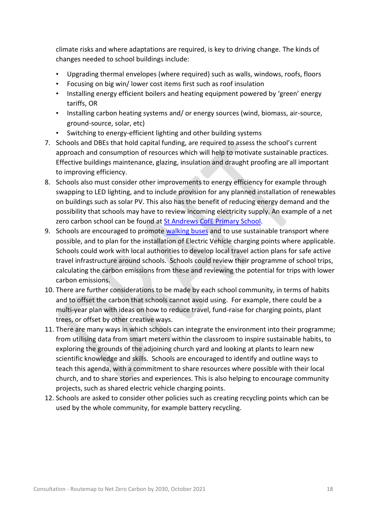climate risks and where adaptations are required, is key to driving change. The kinds of changes needed to school buildings include:

- Upgrading thermal envelopes (where required) such as walls, windows, roofs, floors
- Focusing on big win/ lower cost items first such as roof insulation
- Installing energy efficient boilers and heating equipment powered by 'green' energy tariffs, OR
- Installing carbon heating systems and/ or energy sources (wind, biomass, air-source, ground-source, solar, etc)
- Switching to energy-efficient lighting and other building systems
- 7. Schools and DBEs that hold capital funding, are required to assess the school's current approach and consumption of resources which will help to motivate sustainable practices. Effective buildings maintenance, glazing, insulation and draught proofing are all important to improving efficiency.
- 8. Schools also must consider other improvements to energy efficiency for example through swapping to LED lighting, and to include provision for any planned installation of renewables on buildings such as solar PV. This also has the benefit of reducing energy demand and the possibility that schools may have to review incoming electricity supply. An example of a net zero carbon school can be found a[t St Andrews CofE Primary School](https://www.inspiredefficiency.co.uk/2021/06/27/net-zero-carbon-project-for-st-andrews-cofe-primary-school/).
- 9. Schools are encouraged to promote [walking buses](https://www.kent.gov.uk/education-and-children/schools/school-transport/set-up-a-walking-bus) and to use sustainable transport where possible, and to plan for the installation of Electric Vehicle charging points where applicable. Schools could work with local authorities to develop local travel action plans for safe active travel infrastructure around schools. Schools could review their programme of school trips, calculating the carbon emissions from these and reviewing the potential for trips with lower carbon emissions.
- 10. There are further considerations to be made by each school community, in terms of habits and to offset the carbon that schools cannot avoid using. For example, there could be a multi-year plan with ideas on how to reduce travel, fund-raise for charging points, plant trees, or offset by other creative ways.
- 11. There are many ways in which schools can integrate the environment into their programme; from utilising data from smart meters within the classroom to inspire sustainable habits, to exploring the grounds of the adjoining church yard and looking at plants to learn new scientific knowledge and skills. Schools are encouraged to identify and outline ways to teach this agenda, with a commitment to share resources where possible with their local church, and to share stories and experiences. This is also helping to encourage community projects, such as shared electric vehicle charging points.
- 12. Schools are asked to consider other policies such as creating recycling points which can be used by the whole community, for example battery recycling.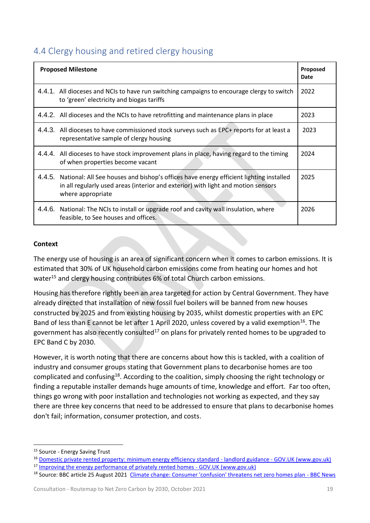## <span id="page-18-0"></span>4.4 Clergy housing and retired clergy housing

| <b>Proposed Milestone</b> |                                                                                                                                                                                                  | Proposed<br><b>Date</b> |
|---------------------------|--------------------------------------------------------------------------------------------------------------------------------------------------------------------------------------------------|-------------------------|
|                           | 4.4.1. All dioceses and NCIs to have run switching campaigns to encourage clergy to switch<br>to 'green' electricity and biogas tariffs                                                          | 2022                    |
|                           | 4.4.2. All dioceses and the NCIs to have retrofitting and maintenance plans in place                                                                                                             | 2023                    |
|                           | 4.4.3. All dioceses to have commissioned stock surveys such as EPC+ reports for at least a<br>representative sample of clergy housing                                                            | 2023                    |
|                           | 4.4.4. All dioceses to have stock improvement plans in place, having regard to the timing<br>of when properties become vacant                                                                    | 2024                    |
| 4.4.5.                    | National: All See houses and bishop's offices have energy efficient lighting installed<br>in all regularly used areas (interior and exterior) with light and motion sensors<br>where appropriate | 2025                    |
| 4.4.6.                    | National: The NCIs to install or upgrade roof and cavity wall insulation, where<br>feasible, to See houses and offices.                                                                          | 2026                    |

#### **Context**

The energy use of housing is an area of significant concern when it comes to carbon emissions. It is estimated that 30% of UK household carbon emissions come from heating our homes and hot water<sup>15</sup> and clergy housing contributes 6% of total Church carbon emissions.

Housing has therefore rightly been an area targeted for action by Central Government. They have already directed that installation of new fossil fuel boilers will be banned from new houses constructed by 2025 and from existing housing by 2035, whilst domestic properties with an EPC Band of less than E cannot be let after 1 April 2020, unless covered by a valid exemption<sup>16</sup>. The government has also recently consulted<sup>17</sup> on plans for privately rented homes to be upgraded to EPC Band C by 2030.

However, it is worth noting that there are concerns about how this is tackled, with a coalition of industry and consumer groups stating that Government plans to decarbonise homes are too complicated and confusing<sup>18</sup>. According to the coalition, simply choosing the right technology or finding a reputable installer demands huge amounts of time, knowledge and effort. Far too often, things go wrong with poor installation and technologies not working as expected, and they say there are three key concerns that need to be addressed to ensure that plans to decarbonise homes don't fail; information, consumer protection, and costs.

<sup>&</sup>lt;sup>15</sup> Source - Energy Saving Trust

<sup>&</sup>lt;sup>16</sup> [Domestic private rented property: minimum energy efficiency standard -](https://www.gov.uk/guidance/domestic-private-rented-property-minimum-energy-efficiency-standard-landlord-guidance) landlord guidance - GOV.UK (www.gov.uk)

<sup>&</sup>lt;sup>17</sup> [Improving the energy performance of privately rented homes -](https://www.gov.uk/government/consultations/improving-the-energy-performance-of-privately-rented-homes) GOV.UK (www.gov.uk)

<sup>&</sup>lt;sup>18</sup> Source: BBC article 25 August 2021 [Climate change: Consumer 'confusion' threatens net zero homes plan -](https://www.bbc.co.uk/news/science-environment-58320578) BBC News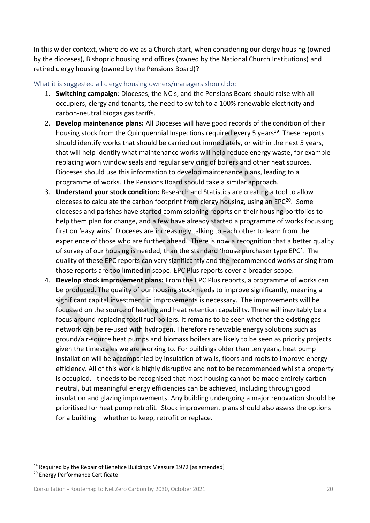In this wider context, where do we as a Church start, when considering our clergy housing (owned by the dioceses), Bishopric housing and offices (owned by the National Church Institutions) and retired clergy housing (owned by the Pensions Board)?

What it is suggested all clergy housing owners/managers should do:

- 1. **Switching campaign**: Dioceses, the NCIs, and the Pensions Board should raise with all occupiers, clergy and tenants, the need to switch to a 100% renewable electricity and carbon-neutral biogas gas tariffs.
- 2. **Develop maintenance plans:** All Dioceses will have good records of the condition of their housing stock from the Quinquennial Inspections required every 5 years<sup>19</sup>. These reports should identify works that should be carried out immediately, or within the next 5 years, that will help identify what maintenance works will help reduce energy waste, for example replacing worn window seals and regular servicing of boilers and other heat sources. Dioceses should use this information to develop maintenance plans, leading to a programme of works. The Pensions Board should take a similar approach.
- 3. **Understand your stock condition:** Research and Statistics are creating a tool to allow dioceses to calculate the carbon footprint from clergy housing, using an  $EPC^{20}$ . Some dioceses and parishes have started commissioning reports on their housing portfolios to help them plan for change, and a few have already started a programme of works focussing first on 'easy wins'. Dioceses are increasingly talking to each other to learn from the experience of those who are further ahead. There is now a recognition that a better quality of survey of our housing is needed, than the standard 'house purchaser type EPC'. The quality of these EPC reports can vary significantly and the recommended works arising from those reports are too limited in scope. EPC Plus reports cover a broader scope.
- 4. **Develop stock improvement plans:** From the EPC Plus reports, a programme of works can be produced. The quality of our housing stock needs to improve significantly, meaning a significant capital investment in improvements is necessary. The improvements will be focussed on the source of heating and heat retention capability. There will inevitably be a focus around replacing fossil fuel boilers. It remains to be seen whether the existing gas network can be re-used with hydrogen. Therefore renewable energy solutions such as ground/air-source heat pumps and biomass boilers are likely to be seen as priority projects given the timescales we are working to. For buildings older than ten years, heat pump installation will be accompanied by insulation of walls, floors and roofs to improve energy efficiency. All of this work is highly disruptive and not to be recommended whilst a property is occupied. It needs to be recognised that most housing cannot be made entirely carbon neutral, but meaningful energy efficiencies can be achieved, including through good insulation and glazing improvements. Any building undergoing a major renovation should be prioritised for heat pump retrofit. Stock improvement plans should also assess the options for a building – whether to keep, retrofit or replace.

 $19$  Required by the Repair of Benefice Buildings Measure 1972 [as amended]

<sup>&</sup>lt;sup>20</sup> Energy Performance Certificate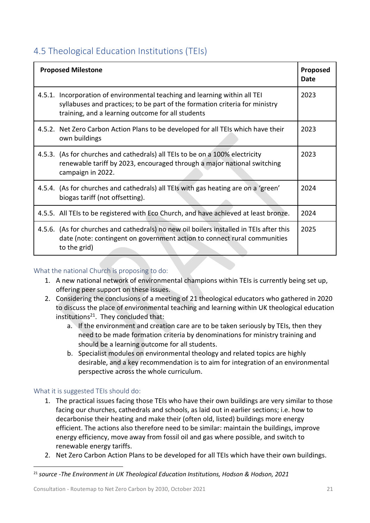## <span id="page-20-0"></span>4.5 Theological Education Institutions (TEIs)

|        | <b>Proposed Milestone</b>                                                                                                                                                                               | Proposed<br><b>Date</b> |
|--------|---------------------------------------------------------------------------------------------------------------------------------------------------------------------------------------------------------|-------------------------|
| 4.5.1. | Incorporation of environmental teaching and learning within all TEI<br>syllabuses and practices; to be part of the formation criteria for ministry<br>training, and a learning outcome for all students | 2023                    |
|        | 4.5.2. Net Zero Carbon Action Plans to be developed for all TEIs which have their<br>own buildings                                                                                                      | 2023                    |
|        | 4.5.3. (As for churches and cathedrals) all TEIs to be on a 100% electricity<br>renewable tariff by 2023, encouraged through a major national switching<br>campaign in 2022.                            | 2023                    |
|        | 4.5.4. (As for churches and cathedrals) all TEIs with gas heating are on a 'green'<br>biogas tariff (not offsetting).                                                                                   | 2024                    |
|        | 4.5.5. All TEIs to be registered with Eco Church, and have achieved at least bronze.                                                                                                                    | 2024                    |
|        | 4.5.6. (As for churches and cathedrals) no new oil boilers installed in TEIs after this<br>date (note: contingent on government action to connect rural communities<br>to the grid)                     | 2025                    |

#### What the national Church is proposing to do:

- 1. A new national network of environmental champions within TEIs is currently being set up, offering peer support on these issues.
- 2. Considering the conclusions of a meeting of 21 theological educators who gathered in 2020 to discuss the place of environmental teaching and learning within UK theological education institutions $21$ . They concluded that:
	- a. If the environment and creation care are to be taken seriously by TEIs, then they need to be made formation criteria by denominations for ministry training and should be a learning outcome for all students.
	- b. Specialist modules on environmental theology and related topics are highly desirable, and a key recommendation is to aim for integration of an environmental perspective across the whole curriculum.

#### What it is suggested TEIs should do:

- 1. The practical issues facing those TEIs who have their own buildings are very similar to those facing our churches, cathedrals and schools, as laid out in earlier sections; i.e. how to decarbonise their heating and make their (often old, listed) buildings more energy efficient. The actions also therefore need to be similar: maintain the buildings, improve energy efficiency, move away from fossil oil and gas where possible, and switch to renewable energy tariffs.
- 2. Net Zero Carbon Action Plans to be developed for all TEIs which have their own buildings.

<sup>21</sup> *source -The Environment in UK Theological Education Institutions, Hodson & Hodson, 2021*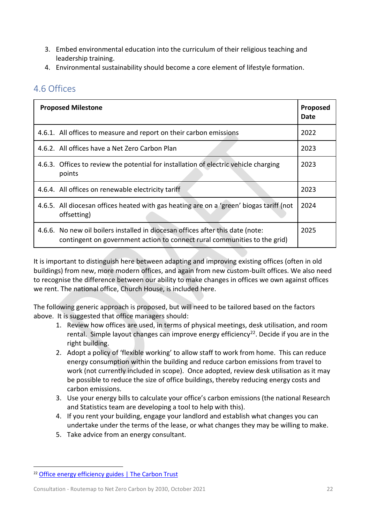- 3. Embed environmental education into the curriculum of their religious teaching and leadership training.
- 4. Environmental sustainability should become a core element of lifestyle formation.

#### <span id="page-21-0"></span>4.6 Offices

| <b>Proposed Milestone</b>                                                                                                                                   | Proposed<br>Date |
|-------------------------------------------------------------------------------------------------------------------------------------------------------------|------------------|
| 4.6.1. All offices to measure and report on their carbon emissions                                                                                          | 2022             |
| 4.6.2. All offices have a Net Zero Carbon Plan                                                                                                              | 2023             |
| 4.6.3. Offices to review the potential for installation of electric vehicle charging<br>points                                                              | 2023             |
| 4.6.4. All offices on renewable electricity tariff                                                                                                          | 2023             |
| 4.6.5. All diocesan offices heated with gas heating are on a 'green' biogas tariff (not<br>offsetting)                                                      | 2024             |
| 4.6.6. No new oil boilers installed in diocesan offices after this date (note:<br>contingent on government action to connect rural communities to the grid) | 2025             |

It is important to distinguish here between adapting and improving existing offices (often in old buildings) from new, more modern offices, and again from new custom-built offices. We also need to recognise the difference between our ability to make changes in offices we own against offices we rent. The national office, Church House, is included here.

The following generic approach is proposed, but will need to be tailored based on the factors above. It is suggested that office managers should:

- 1. Review how offices are used, in terms of physical meetings, desk utilisation, and room rental. Simple layout changes can improve energy efficiency<sup>22</sup>. Decide if you are in the right building.
- 2. Adopt a policy of 'flexible working' to allow staff to work from home. This can reduce energy consumption within the building and reduce carbon emissions from travel to work (not currently included in scope). Once adopted, review desk utilisation as it may be possible to reduce the size of office buildings, thereby reducing energy costs and carbon emissions.
- 3. Use your energy bills to calculate your office's carbon emissions (the national Research and Statistics team are developing a tool to help with this).
- 4. If you rent your building, engage your landlord and establish what changes you can undertake under the terms of the lease, or what changes they may be willing to make.
- 5. Take advice from an energy consultant.

<sup>22</sup> [Office energy efficiency guides | The Carbon Trust](https://www.carbontrust.com/resources/office-energy-efficiency-guides)

Consultation - Routemap to Net Zero Carbon by 2030, October 2021 22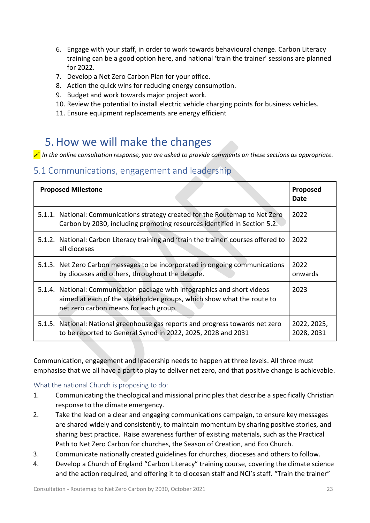- 6. Engage with your staff, in order to work towards behavioural change. Carbon Literacy training can be a good option here, and national 'train the trainer' sessions are planned for 2022.
- 7. Develop a Net Zero Carbon Plan for your office.
- 8. Action the quick wins for reducing energy consumption.
- 9. Budget and work towards major project work.
- 10. Review the potential to install electric vehicle charging points for business vehicles.
- 11. Ensure equipment replacements are energy efficient

## <span id="page-22-0"></span>5.How we will make the changes

*In the online consultation response, you are asked to provide comments on these sections as appropriate.*

#### <span id="page-22-1"></span>5.1 Communications, engagement and leadership

| <b>Proposed Milestone</b>                                                                                                                                                                   | Proposed<br>Date          |
|---------------------------------------------------------------------------------------------------------------------------------------------------------------------------------------------|---------------------------|
| 5.1.1. National: Communications strategy created for the Routemap to Net Zero<br>Carbon by 2030, including promoting resources identified in Section 5.2.                                   | 2022                      |
| 5.1.2. National: Carbon Literacy training and 'train the trainer' courses offered to<br>all dioceses                                                                                        | 2022                      |
| 5.1.3. Net Zero Carbon messages to be incorporated in ongoing communications<br>by dioceses and others, throughout the decade.                                                              | 2022<br>onwards           |
| 5.1.4. National: Communication package with infographics and short videos<br>aimed at each of the stakeholder groups, which show what the route to<br>net zero carbon means for each group. | 2023                      |
| 5.1.5. National: National greenhouse gas reports and progress towards net zero<br>to be reported to General Synod in 2022, 2025, 2028 and 2031                                              | 2022, 2025,<br>2028, 2031 |

Communication, engagement and leadership needs to happen at three levels. All three must emphasise that we all have a part to play to deliver net zero, and that positive change is achievable.

What the national Church is proposing to do:

- 1. Communicating the theological and missional principles that describe a specifically Christian response to the climate emergency.
- 2. Take the lead on a clear and engaging communications campaign, to ensure key messages are shared widely and consistently, to maintain momentum by sharing positive stories, and sharing best practice. Raise awareness further of existing materials, such as the Practical Path to Net Zero Carbon for churches, the Season of Creation, and Eco Church.
- 3. Communicate nationally created guidelines for churches, dioceses and others to follow.
- 4. Develop a Church of England "Carbon Literacy" training course, covering the climate science and the action required, and offering it to diocesan staff and NCI's staff. "Train the trainer"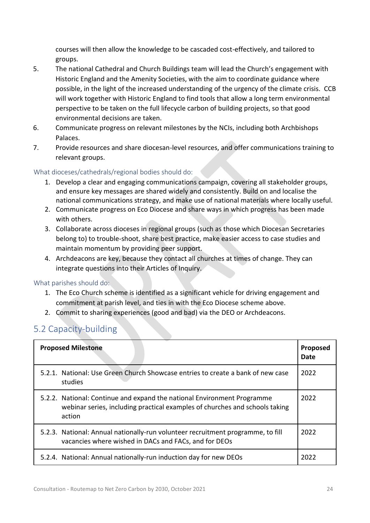courses will then allow the knowledge to be cascaded cost-effectively, and tailored to groups.

- 5. The national Cathedral and Church Buildings team will lead the Church's engagement with Historic England and the Amenity Societies, with the aim to coordinate guidance where possible, in the light of the increased understanding of the urgency of the climate crisis. CCB will work together with Historic England to find tools that allow a long term environmental perspective to be taken on the full lifecycle carbon of building projects, so that good environmental decisions are taken.
- 6. Communicate progress on relevant milestones by the NCIs, including both Archbishops Palaces.
- 7. Provide resources and share diocesan-level resources, and offer communications training to relevant groups.

#### What dioceses/cathedrals/regional bodies should do:

- 1. Develop a clear and engaging communications campaign, covering all stakeholder groups, and ensure key messages are shared widely and consistently. Build on and localise the national communications strategy, and make use of national materials where locally useful.
- 2. Communicate progress on Eco Diocese and share ways in which progress has been made with others.
- 3. Collaborate across dioceses in regional groups (such as those which Diocesan Secretaries belong to) to trouble-shoot, share best practice, make easier access to case studies and maintain momentum by providing peer support.
- 4. Archdeacons are key, because they contact all churches at times of change. They can integrate questions into their Articles of Inquiry.

#### What parishes should do:

- 1. The Eco Church scheme is identified as a significant vehicle for driving engagement and commitment at parish level, and ties in with the Eco Diocese scheme above.
- 2. Commit to sharing experiences (good and bad) via the DEO or Archdeacons.

## <span id="page-23-0"></span>5.2 Capacity-building

| <b>Proposed Milestone</b>                                                                                                                                        | Proposed<br>Date |
|------------------------------------------------------------------------------------------------------------------------------------------------------------------|------------------|
| 5.2.1. National: Use Green Church Showcase entries to create a bank of new case<br>studies                                                                       | 2022             |
| 5.2.2. National: Continue and expand the national Environment Programme<br>webinar series, including practical examples of churches and schools taking<br>action | 2022             |
| 5.2.3. National: Annual nationally-run volunteer recruitment programme, to fill<br>vacancies where wished in DACs and FACs, and for DEOs                         | 2022             |
| 5.2.4. National: Annual nationally-run induction day for new DEOs                                                                                                | 2022             |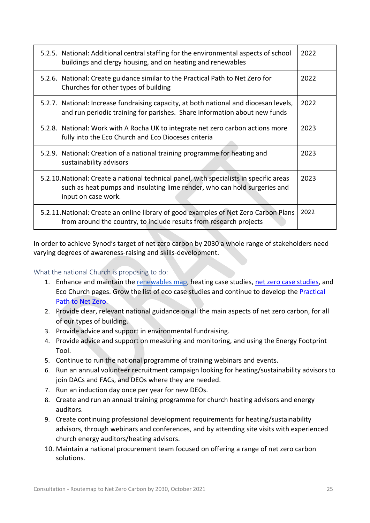| 5.2.5. National: Additional central staffing for the environmental aspects of school<br>buildings and clergy housing, and on heating and renewables                                         | 2022 |
|---------------------------------------------------------------------------------------------------------------------------------------------------------------------------------------------|------|
| 5.2.6. National: Create guidance similar to the Practical Path to Net Zero for<br>Churches for other types of building                                                                      | 2022 |
| 5.2.7. National: Increase fundraising capacity, at both national and diocesan levels,<br>and run periodic training for parishes. Share information about new funds                          | 2022 |
| 5.2.8. National: Work with A Rocha UK to integrate net zero carbon actions more<br>fully into the Eco Church and Eco Dioceses criteria                                                      | 2023 |
| 5.2.9. National: Creation of a national training programme for heating and<br>sustainability advisors                                                                                       | 2023 |
| 5.2.10. National: Create a national technical panel, with specialists in specific areas<br>such as heat pumps and insulating lime render, who can hold surgeries and<br>input on case work. | 2023 |
| 5.2.11. National: Create an online library of good examples of Net Zero Carbon Plans<br>from around the country, to include results from research projects                                  | 2022 |

In order to achieve Synod's target of net zero carbon by 2030 a whole range of stakeholders need varying degrees of awareness-raising and skills-development.

#### What the national Church is proposing to do:

- 1. Enhance and maintain the [renewables map,](https://facultyonline.churchofengland.org/renewables.) heating case studies, [net zero case studies,](https://www.churchofengland.org/about/environment-and-climate-change/towards-net-zero-carbon-case-studies) and Eco Church pages. Grow the list of eco case studies and continue to develop the [Practical](https://www.churchofengland.org/resources/churchcare/net-zero-carbon-church/practical-path-net-zero-carbon-churches)  [Path to Net Zero.](https://www.churchofengland.org/resources/churchcare/net-zero-carbon-church/practical-path-net-zero-carbon-churches)
- 2. Provide clear, relevant national guidance on all the main aspects of net zero carbon, for all of our types of building.
- 3. Provide advice and support in environmental fundraising.
- 4. Provide advice and support on measuring and monitoring, and using the Energy Footprint Tool.
- 5. Continue to run the national programme of training webinars and events.
- 6. Run an annual volunteer recruitment campaign looking for heating/sustainability advisors to join DACs and FACs, and DEOs where they are needed.
- 7. Run an induction day once per year for new DEOs.
- 8. Create and run an annual training programme for church heating advisors and energy auditors.
- 9. Create continuing professional development requirements for heating/sustainability advisors, through webinars and conferences, and by attending site visits with experienced church energy auditors/heating advisors.
- 10. Maintain a national procurement team focused on offering a range of net zero carbon solutions.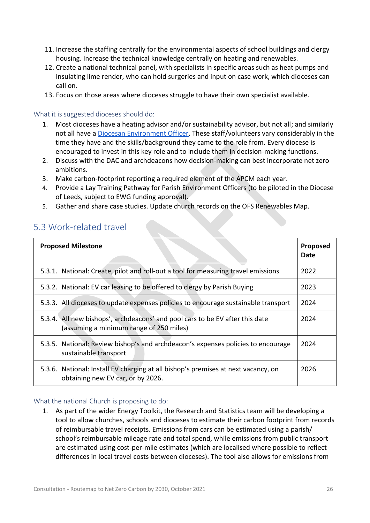- 11. Increase the staffing centrally for the environmental aspects of school buildings and clergy housing. Increase the technical knowledge centrally on heating and renewables.
- 12. Create a national technical panel, with specialists in specific areas such as heat pumps and insulating lime render, who can hold surgeries and input on case work, which dioceses can call on.
- 13. Focus on those areas where dioceses struggle to have their own specialist available.

#### What it is suggested dioceses should do:

- 1. Most dioceses have a heating advisor and/or sustainability advisor, but not all; and similarly not all have a Diocesan [Environment Officer.](https://www.churchofengland.org/about/environment-and-climate-change/diocesan-environmental-officers-map) These staff/volunteers vary considerably in the time they have and the skills/background they came to the role from. Every diocese is encouraged to invest in this key role and to include them in decision-making functions.
- 2. Discuss with the DAC and archdeacons how decision-making can best incorporate net zero ambitions.
- 3. Make carbon-footprint reporting a required element of the APCM each year.
- 4. Provide a Lay Training Pathway for Parish Environment Officers (to be piloted in the Diocese of Leeds, subject to EWG funding approval).
- 5. Gather and share case studies. Update church records on the OFS Renewables Map.

| <b>Proposed Milestone</b>                                                                                               | Proposed<br><b>Date</b> |
|-------------------------------------------------------------------------------------------------------------------------|-------------------------|
| 5.3.1. National: Create, pilot and roll-out a tool for measuring travel emissions                                       | 2022                    |
| 5.3.2. National: EV car leasing to be offered to clergy by Parish Buying                                                | 2023                    |
| 5.3.3. All dioceses to update expenses policies to encourage sustainable transport                                      | 2024                    |
| 5.3.4. All new bishops', archdeacons' and pool cars to be EV after this date<br>(assuming a minimum range of 250 miles) | 2024                    |
| 5.3.5. National: Review bishop's and archdeacon's expenses policies to encourage<br>sustainable transport               | 2024                    |
| 5.3.6. National: Install EV charging at all bishop's premises at next vacancy, on<br>obtaining new EV car, or by 2026.  | 2026                    |

#### <span id="page-25-0"></span>5.3 Work-related travel

#### What the national Church is proposing to do:

1. As part of the wider Energy Toolkit, the Research and Statistics team will be developing a tool to allow churches, schools and dioceses to estimate their carbon footprint from records of reimbursable travel receipts. Emissions from cars can be estimated using a parish/ school's reimbursable mileage rate and total spend, while emissions from public transport are estimated using cost-per-mile estimates (which are localised where possible to reflect differences in local travel costs between dioceses). The tool also allows for emissions from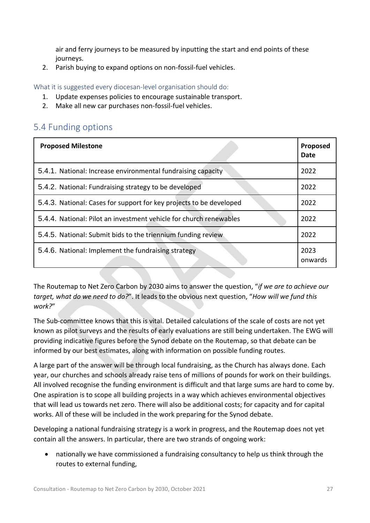air and ferry journeys to be measured by inputting the start and end points of these journeys.

2. Parish buying to expand options on non-fossil-fuel vehicles.

What it is suggested every diocesan-level organisation should do:

- 1. Update expenses policies to encourage sustainable transport.
- 2. Make all new car purchases non-fossil-fuel vehicles.

## <span id="page-26-0"></span>5.4 Funding options

| <b>Proposed Milestone</b>                                           | Proposed<br>Date |
|---------------------------------------------------------------------|------------------|
| 5.4.1. National: Increase environmental fundraising capacity        | 2022             |
| 5.4.2. National: Fundraising strategy to be developed               | 2022             |
| 5.4.3. National: Cases for support for key projects to be developed | 2022             |
| 5.4.4. National: Pilot an investment vehicle for church renewables  | 2022             |
| 5.4.5. National: Submit bids to the triennium funding review        | 2022             |
| 5.4.6. National: Implement the fundraising strategy                 | 2023<br>onwards  |

The Routemap to Net Zero Carbon by 2030 aims to answer the question, "*if we are to achieve our target, what do we need to do?*". It leads to the obvious next question, "*How will we fund this work?*"

The Sub-committee knows that this is vital. Detailed calculations of the scale of costs are not yet known as pilot surveys and the results of early evaluations are still being undertaken. The EWG will providing indicative figures before the Synod debate on the Routemap, so that debate can be informed by our best estimates, along with information on possible funding routes.

A large part of the answer will be through local fundraising, as the Church has always done. Each year, our churches and schools already raise tens of millions of pounds for work on their buildings. All involved recognise the funding environment is difficult and that large sums are hard to come by. One aspiration is to scope all building projects in a way which achieves environmental objectives that will lead us towards net zero. There will also be additional costs; for capacity and for capital works. All of these will be included in the work preparing for the Synod debate.

Developing a national fundraising strategy is a work in progress, and the Routemap does not yet contain all the answers. In particular, there are two strands of ongoing work:

• nationally we have commissioned a fundraising consultancy to help us think through the routes to external funding,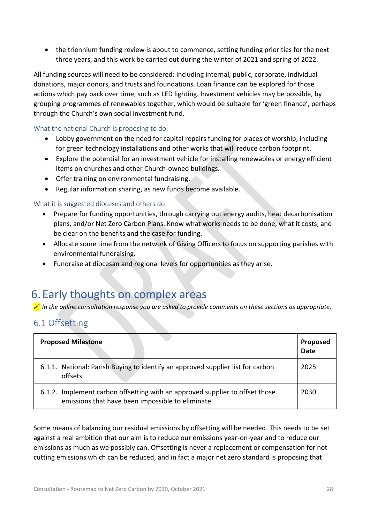• the triennium funding review is about to commence, setting funding priorities for the next three years, and this work be carried out during the winter of 2021 and spring of 2022.

All funding sources will need to be considered: including internal, public, corporate, individual donations, major donors, and trusts and foundations. Loan finance can be explored for those actions which pay back over time, such as LED lighting. Investment vehicles may be possible, by grouping programmes of renewables together, which would be suitable for 'green finance', perhaps through the Church's own social investment fund.

What the national Church is proposing to do:

- Lobby government on the need for capital repairs funding for places of worship, including for green technology installations and other works that will reduce carbon footprint.
- Explore the potential for an investment vehicle for installing renewables or energy efficient items on churches and other Church-owned buildings.
- Offer training on environmental fundraising.
- Regular information sharing, as new funds become available.

#### What it is suggested dioceses and others do:

- Prepare for funding opportunities, through carrying out energy audits, heat decarbonisation plans, and/or Net Zero Carbon Plans. Know what works needs to be done, what it costs, and be clear on the benefits and the case for funding.
- Allocate some time from the network of Giving Officers to focus on supporting parishes with environmental fundraising.
- Fundraise at diocesan and regional levels for opportunities as they arise.

## <span id="page-27-0"></span>6. Early thoughts on complex areas

*In the online consultation response you are asked to provide comments on these sections as appropriate.*

#### <span id="page-27-1"></span>6.1 Offsetting

| <b>Proposed Milestone</b>                                                                                                        | <b>Proposed</b><br>Date |
|----------------------------------------------------------------------------------------------------------------------------------|-------------------------|
| 6.1.1. National: Parish Buying to identify an approved supplier list for carbon<br>offsets                                       | 2025                    |
| 6.1.2. Implement carbon offsetting with an approved supplier to offset those<br>emissions that have been impossible to eliminate | 2030                    |

Some means of balancing our residual emissions by offsetting will be needed. This needs to be set against a real ambition that our aim is to reduce our emissions year-on-year and to reduce our emissions as much as we possibly can. Offsetting is never a replacement or compensation for not cutting emissions which can be reduced, and in fact a major net zero standard is proposing that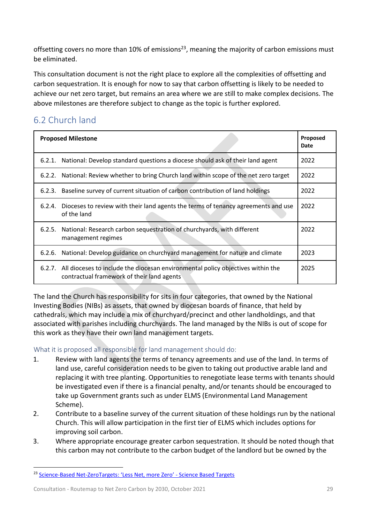offsetting covers no more than 10% of emissions<sup>23</sup>, meaning the majority of carbon emissions must be eliminated.

This consultation document is not the right place to explore all the complexities of offsetting and carbon sequestration. It is enough for now to say that carbon offsetting is likely to be needed to achieve our net zero target, but remains an area where we are still to make complex decisions. The above milestones are therefore subject to change as the topic is further explored.

## <span id="page-28-0"></span>6.2 Church land

|        | <b>Proposed Milestone</b>                                                                                                            | Proposed<br>Date |
|--------|--------------------------------------------------------------------------------------------------------------------------------------|------------------|
| 6.2.1. | National: Develop standard questions a diocese should ask of their land agent                                                        | 2022             |
|        | 6.2.2. National: Review whether to bring Church land within scope of the net zero target                                             | 2022             |
| 6.2.3. | Baseline survey of current situation of carbon contribution of land holdings                                                         | 2022             |
| 6.2.4. | Dioceses to review with their land agents the terms of tenancy agreements and use<br>of the land                                     | 2022             |
| 6.2.5. | National: Research carbon sequestration of churchyards, with different<br>management regimes                                         | 2022             |
| 6.2.6. | National: Develop guidance on churchyard management for nature and climate                                                           | 2023             |
|        | 6.2.7. All dioceses to include the diocesan environmental policy objectives within the<br>contractual framework of their land agents | 2025             |

The land the Church has responsibility for sits in four categories, that owned by the National Investing Bodies (NIBs) as assets, that owned by diocesan boards of finance, that held by cathedrals, which may include a mix of churchyard/precinct and other landholdings, and that associated with parishes including churchyards. The land managed by the NIBs is out of scope for this work as they have their own land management targets.

#### What it is proposed all responsible for land management should do:

- 1. Review with land agents the terms of tenancy agreements and use of the land. In terms of land use, careful consideration needs to be given to taking out productive arable land and replacing it with tree planting. Opportunities to renegotiate lease terms with tenants should be investigated even if there is a financial penalty, and/or tenants should be encouraged to take up Government grants such as under ELMS (Environmental Land Management Scheme).
- 2. Contribute to a baseline survey of the current situation of these holdings run by the national Church. This will allow participation in the first tier of ELMS which includes options for improving soil carbon.
- 3. Where appropriate encourage greater carbon sequestration. It should be noted though that this carbon may not contribute to the carbon budget of the landlord but be owned by the

<sup>&</sup>lt;sup>23</sup> Science-Based Net-[ZeroTargets: 'Less Net, more Zero'](https://sciencebasedtargets.org/blog/science-based-net-zero-targets-less-net-more-zero) - Science Based Targets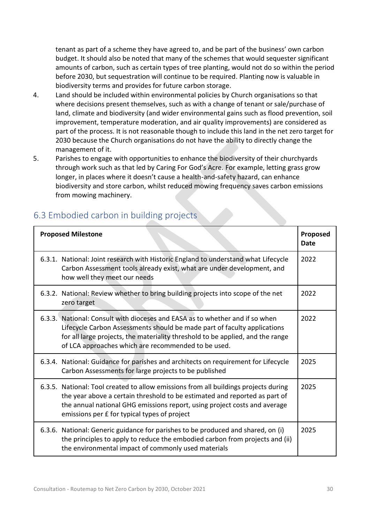tenant as part of a scheme they have agreed to, and be part of the business' own carbon budget. It should also be noted that many of the schemes that would sequester significant amounts of carbon, such as certain types of tree planting, would not do so within the period before 2030, but sequestration will continue to be required. Planting now is valuable in biodiversity terms and provides for future carbon storage.

- 4. Land should be included within environmental policies by Church organisations so that where decisions present themselves, such as with a change of tenant or sale/purchase of land, climate and biodiversity (and wider environmental gains such as flood prevention, soil improvement, temperature moderation, and air quality improvements) are considered as part of the process. It is not reasonable though to include this land in the net zero target for 2030 because the Church organisations do not have the ability to directly change the management of it.
- 5. Parishes to engage with opportunities to enhance the biodiversity of their churchyards through work such as that led by Caring For God's Acre. For example, letting grass grow longer, in places where it doesn't cause a health-and-safety hazard, can enhance biodiversity and store carbon, whilst reduced mowing frequency saves carbon emissions from mowing machinery.

| <b>Proposed Milestone</b> |                                                                                                                                                                                                                                                                                                   | Proposed<br><b>Date</b> |
|---------------------------|---------------------------------------------------------------------------------------------------------------------------------------------------------------------------------------------------------------------------------------------------------------------------------------------------|-------------------------|
|                           | 6.3.1. National: Joint research with Historic England to understand what Lifecycle<br>Carbon Assessment tools already exist, what are under development, and<br>how well they meet our needs                                                                                                      | 2022                    |
|                           | 6.3.2. National: Review whether to bring building projects into scope of the net<br>zero target                                                                                                                                                                                                   | 2022                    |
|                           | 6.3.3. National: Consult with dioceses and EASA as to whether and if so when<br>Lifecycle Carbon Assessments should be made part of faculty applications<br>for all large projects, the materiality threshold to be applied, and the range<br>of LCA approaches which are recommended to be used. | 2022                    |
|                           | 6.3.4. National: Guidance for parishes and architects on requirement for Lifecycle<br>Carbon Assessments for large projects to be published                                                                                                                                                       | 2025                    |
|                           | 6.3.5. National: Tool created to allow emissions from all buildings projects during<br>the year above a certain threshold to be estimated and reported as part of<br>the annual national GHG emissions report, using project costs and average<br>emissions per £ for typical types of project    | 2025                    |
|                           | 6.3.6. National: Generic guidance for parishes to be produced and shared, on (i)<br>the principles to apply to reduce the embodied carbon from projects and (ii)<br>the environmental impact of commonly used materials                                                                           | 2025                    |

## <span id="page-29-0"></span>6.3 Embodied carbon in building projects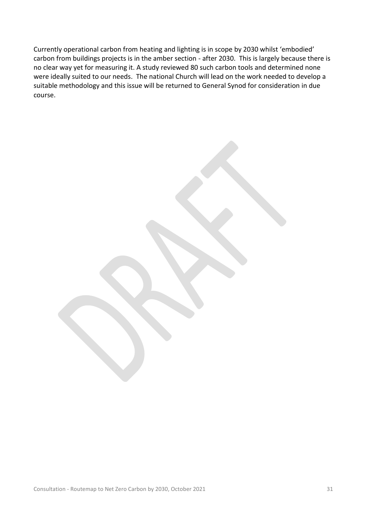<span id="page-30-0"></span>Currently operational carbon from heating and lighting is in scope by 2030 whilst 'embodied' carbon from buildings projects is in the amber section - after 2030. This is largely because there is no clear way yet for measuring it. A study reviewed 80 such carbon tools and determined none were ideally suited to our needs. The national Church will lead on the work needed to develop a suitable methodology and this issue will be returned to General Synod for consideration in due course.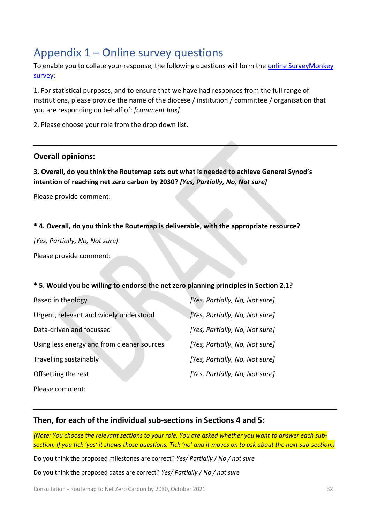## <span id="page-31-0"></span>Appendix 1 – Online survey questions

To enable you to collate your response, the following questions will form the [online SurveyMonkey](https://www.surveymonkey.co.uk/r/CoE_NZC)  [survey:](https://www.surveymonkey.co.uk/r/CoE_NZC)

1. For statistical purposes, and to ensure that we have had responses from the full range of institutions, please provide the name of the diocese / institution / committee / organisation that you are responding on behalf of: *[comment box]*

2. Please choose your role from the drop down list.

#### **Overall opinions:**

**3. Overall, do you think the Routemap sets out what is needed to achieve General Synod's intention of reaching net zero carbon by 2030?** *[Yes, Partially, No, Not sure]*

Please provide comment:

#### **\* 4. Overall, do you think the Routemap is deliverable, with the appropriate resource?**

*[Yes, Partially, No, Not sure]*

Please provide comment:

#### **\* 5. Would you be willing to endorse the net zero planning principles in Section 2.1?**

| Based in theology                          | [Yes, Partially, No, Not sure] |
|--------------------------------------------|--------------------------------|
| Urgent, relevant and widely understood     | [Yes, Partially, No, Not sure] |
| Data-driven and focussed                   | [Yes, Partially, No, Not sure] |
| Using less energy and from cleaner sources | [Yes, Partially, No, Not sure] |
| Travelling sustainably                     | [Yes, Partially, No, Not sure] |
| Offsetting the rest                        | [Yes, Partially, No, Not sure] |
| Please comment:                            |                                |

#### **Then, for each of the individual sub-sections in Sections 4 and 5:**

*(Note: You choose the relevant sections to your role. You are asked whether you want to answer each subsection. If you tick 'yes' it shows those questions. Tick 'no' and it moves on to ask about the next sub-section.)*

Do you think the proposed milestones are correct? *Yes/ Partially / No / not sure*

Do you think the proposed dates are correct? *Yes/ Partially / No / not sure*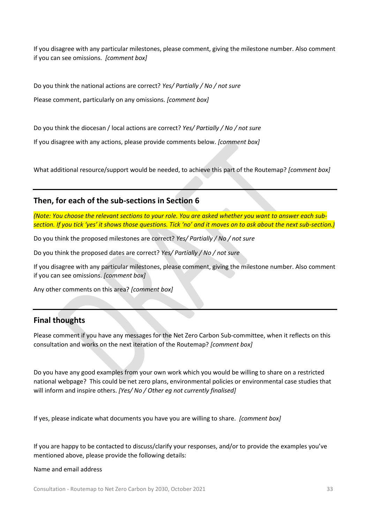If you disagree with any particular milestones, please comment, giving the milestone number. Also comment if you can see omissions. *[comment box]*

Do you think the national actions are correct? *Yes/ Partially / No / not sure* Please comment, particularly on any omissions. *[comment box]*

Do you think the diocesan / local actions are correct? *Yes/ Partially / No / not sure* If you disagree with any actions, please provide comments below. *[comment box]*

What additional resource/support would be needed, to achieve this part of the Routemap? *[comment box]*

#### **Then, for each of the sub-sections in Section 6**

*(Note: You choose the relevant sections to your role. You are asked whether you want to answer each subsection. If you tick 'yes' it shows those questions. Tick 'no' and it moves on to ask about the next sub-section.)*

Do you think the proposed milestones are correct? *Yes/ Partially / No / not sure*

Do you think the proposed dates are correct? *Yes/ Partially / No / not sure*

If you disagree with any particular milestones, please comment, giving the milestone number. Also comment if you can see omissions. *[comment box]*

Any other comments on this area? *[comment box]*

#### **Final thoughts**

Please comment if you have any messages for the Net Zero Carbon Sub-committee, when it reflects on this consultation and works on the next iteration of the Routemap? *[comment box]*

Do you have any good examples from your own work which you would be willing to share on a restricted national webpage? This could be net zero plans, environmental policies or environmental case studies that will inform and inspire others. *[Yes/ No / Other eg not currently finalised]*

If yes, please indicate what documents you have you are willing to share. *[comment box]*

If you are happy to be contacted to discuss/clarify your responses, and/or to provide the examples you've mentioned above, please provide the following details:

#### Name and email address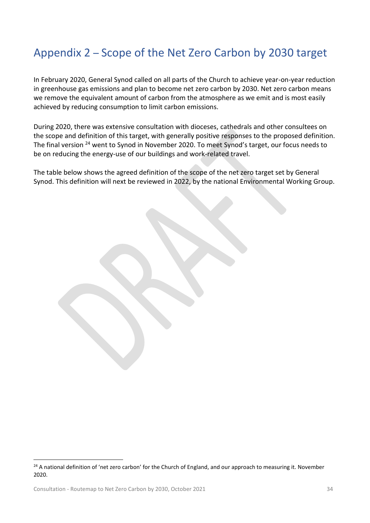## <span id="page-33-0"></span>Appendix 2 – Scope of the Net Zero Carbon by 2030 target

In February 2020, General Synod called on all parts of the Church to achieve year-on-year reduction in greenhouse gas emissions and plan to become net zero carbon by 2030. Net zero carbon means we remove the equivalent amount of carbon from the atmosphere as we emit and is most easily achieved by reducing consumption to limit carbon emissions.

During 2020, there was extensive consultation with dioceses, cathedrals and other consultees on the scope and definition of this target, with generally positive responses to the proposed definition. The final version <sup>24</sup> went to Synod in November 2020. To meet Synod's target, our focus needs to be on reducing the energy-use of our buildings and work-related travel.

The table below shows the agreed definition of the scope of the net zero target set by General Synod. This definition will next be reviewed in 2022, by the national Environmental Working Group.

 $24$  A national definition of 'net zero carbon' for the Church of England, and our approach to measuring it. November 2020.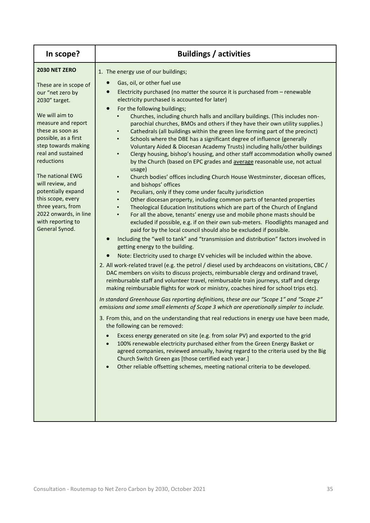| In scope?                                                                                                                                                                                                                  | <b>Buildings / activities</b>                                                                                                                                                                                                                                                                                                                                                                                                                                                                                                                                                                                                                                                                                                                                                                                                                                                                                                                                                                                                                                                                                                                                                             |
|----------------------------------------------------------------------------------------------------------------------------------------------------------------------------------------------------------------------------|-------------------------------------------------------------------------------------------------------------------------------------------------------------------------------------------------------------------------------------------------------------------------------------------------------------------------------------------------------------------------------------------------------------------------------------------------------------------------------------------------------------------------------------------------------------------------------------------------------------------------------------------------------------------------------------------------------------------------------------------------------------------------------------------------------------------------------------------------------------------------------------------------------------------------------------------------------------------------------------------------------------------------------------------------------------------------------------------------------------------------------------------------------------------------------------------|
| 2030 NET ZERO<br>These are in scope of<br>our "net zero by<br>2030" target.<br>We will aim to<br>measure and report<br>these as soon as<br>possible, as a first<br>step towards making<br>real and sustained<br>reductions | 1. The energy use of our buildings;<br>Gas, oil, or other fuel use<br>$\bullet$<br>Electricity purchased (no matter the source it is purchased from - renewable<br>electricity purchased is accounted for later)<br>$\bullet$<br>For the following buildings;<br>Churches, including church halls and ancillary buildings. (This includes non-<br>parochial churches, BMOs and others if they have their own utility supplies.)<br>Cathedrals (all buildings within the green line forming part of the precinct)<br>Schools where the DBE has a significant degree of influence (generally<br>$\bullet$<br>Voluntary Aided & Diocesan Academy Trusts) including halls/other buildings<br>Clergy housing, bishop's housing, and other staff accommodation wholly owned<br>$\bullet$<br>by the Church (based on EPC grades and average reasonable use, not actual                                                                                                                                                                                                                                                                                                                           |
| The national EWG<br>will review, and<br>potentially expand<br>this scope, every<br>three years, from<br>2022 onwards, in line<br>with reporting to<br>General Synod.                                                       | usage)<br>Church bodies' offices including Church House Westminster, diocesan offices,<br>$\bullet$<br>and bishops' offices<br>Peculiars, only if they come under faculty jurisdiction<br>Other diocesan property, including common parts of tenanted properties<br>Theological Education Institutions which are part of the Church of England<br>For all the above, tenants' energy use and mobile phone masts should be<br>excluded if possible, e.g. if on their own sub-meters. Floodlights managed and<br>paid for by the local council should also be excluded if possible.<br>Including the "well to tank" and "transmission and distribution" factors involved in<br>$\bullet$<br>getting energy to the building.<br>Note: Electricity used to charge EV vehicles will be included within the above.<br>2. All work-related travel (e.g. the petrol / diesel used by archdeacons on visitations, CBC /<br>DAC members on visits to discuss projects, reimbursable clergy and ordinand travel,<br>reimbursable staff and volunteer travel, reimbursable train journeys, staff and clergy<br>making reimbursable flights for work or ministry, coaches hired for school trips etc). |
|                                                                                                                                                                                                                            | In standard Greenhouse Gas reporting definitions, these are our "Scope 1" and "Scope 2"<br>emissions and some small elements of Scope 3 which are operationally simpler to include.<br>3. From this, and on the understanding that real reductions in energy use have been made,<br>the following can be removed:<br>Excess energy generated on site (e.g. from solar PV) and exported to the grid<br>100% renewable electricity purchased either from the Green Energy Basket or<br>$\bullet$<br>agreed companies, reviewed annually, having regard to the criteria used by the Big<br>Church Switch Green gas [those certified each year.]<br>Other reliable offsetting schemes, meeting national criteria to be developed.                                                                                                                                                                                                                                                                                                                                                                                                                                                             |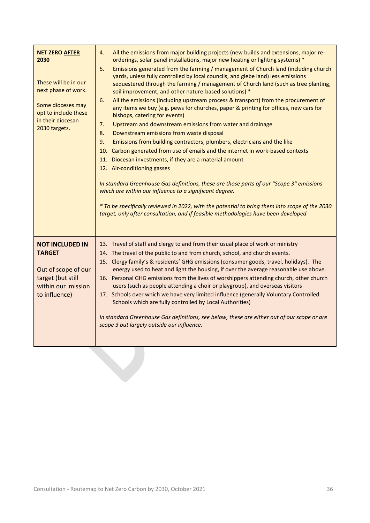| <b>NET ZERO AFTER</b><br>2030<br>These will be in our<br>next phase of work.<br>Some dioceses may<br>opt to include these<br>in their diocesan<br>2030 targets. | All the emissions from major building projects (new builds and extensions, major re-<br>4.<br>orderings, solar panel installations, major new heating or lighting systems) *<br>Emissions generated from the farming / management of Church land (including church<br>5.<br>yards, unless fully controlled by local councils, and glebe land) less emissions<br>sequestered through the farming / management of Church land (such as tree planting,<br>soil improvement, and other nature-based solutions) *<br>All the emissions (including upstream process & transport) from the procurement of<br>6.<br>any items we buy (e.g. pews for churches, paper & printing for offices, new cars for<br>bishops, catering for events)<br>Upstream and downstream emissions from water and drainage<br>7.<br>Downstream emissions from waste disposal<br>8.<br>9.<br>Emissions from building contractors, plumbers, electricians and the like<br>10. Carbon generated from use of emails and the internet in work-based contexts<br>11. Diocesan investments, if they are a material amount<br>12. Air-conditioning gasses<br>In standard Greenhouse Gas definitions, these are those parts of our "Scope 3" emissions<br>which are within our influence to a significant degree.<br>* To be specifically reviewed in 2022, with the potential to bring them into scope of the 2030<br>target, only after consultation, and if feasible methodologies have been developed |
|-----------------------------------------------------------------------------------------------------------------------------------------------------------------|----------------------------------------------------------------------------------------------------------------------------------------------------------------------------------------------------------------------------------------------------------------------------------------------------------------------------------------------------------------------------------------------------------------------------------------------------------------------------------------------------------------------------------------------------------------------------------------------------------------------------------------------------------------------------------------------------------------------------------------------------------------------------------------------------------------------------------------------------------------------------------------------------------------------------------------------------------------------------------------------------------------------------------------------------------------------------------------------------------------------------------------------------------------------------------------------------------------------------------------------------------------------------------------------------------------------------------------------------------------------------------------------------------------------------------------------------------------------|
| <b>NOT INCLUDED IN</b><br><b>TARGET</b><br>Out of scope of our<br>target (but still<br>within our mission<br>to influence)                                      | 13. Travel of staff and clergy to and from their usual place of work or ministry<br>14. The travel of the public to and from church, school, and church events.<br>15. Clergy family's & residents' GHG emissions (consumer goods, travel, holidays). The<br>energy used to heat and light the housing, if over the average reasonable use above.<br>16. Personal GHG emissions from the lives of worshippers attending church, other church<br>users (such as people attending a choir or playgroup), and overseas visitors<br>17. Schools over which we have very limited influence (generally Voluntary Controlled<br>Schools which are fully controlled by Local Authorities)<br>In standard Greenhouse Gas definitions, see below, these are either out of our scope or are<br>scope 3 but largely outside our influence.                                                                                                                                                                                                                                                                                                                                                                                                                                                                                                                                                                                                                                       |